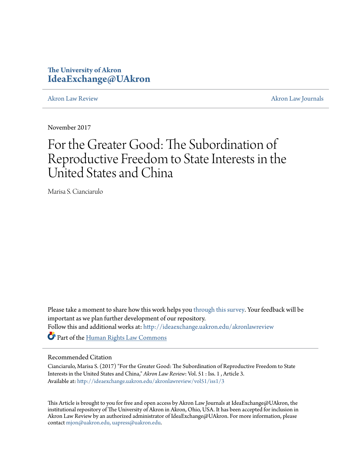# **The University of Akron [IdeaExchange@UAkron](http://ideaexchange.uakron.edu?utm_source=ideaexchange.uakron.edu%2Fakronlawreview%2Fvol51%2Fiss1%2F3&utm_medium=PDF&utm_campaign=PDFCoverPages)**

[Akron Law Review](http://ideaexchange.uakron.edu/akronlawreview?utm_source=ideaexchange.uakron.edu%2Fakronlawreview%2Fvol51%2Fiss1%2F3&utm_medium=PDF&utm_campaign=PDFCoverPages) [Akron Law Journals](http://ideaexchange.uakron.edu/akronlawjournals?utm_source=ideaexchange.uakron.edu%2Fakronlawreview%2Fvol51%2Fiss1%2F3&utm_medium=PDF&utm_campaign=PDFCoverPages)

November 2017

# For the Greater Good: The Subordination of Reproductive Freedom to State Interests in the United States and China

Marisa S. Cianciarulo

Please take a moment to share how this work helps you [through this survey.](http://survey.az1.qualtrics.com/SE/?SID=SV_eEVH54oiCbOw05f&URL=http://ideaexchange.uakron.edu/akronlawreview/vol51/iss1/3) Your feedback will be important as we plan further development of our repository. Follow this and additional works at: [http://ideaexchange.uakron.edu/akronlawreview](http://ideaexchange.uakron.edu/akronlawreview?utm_source=ideaexchange.uakron.edu%2Fakronlawreview%2Fvol51%2Fiss1%2F3&utm_medium=PDF&utm_campaign=PDFCoverPages) Part of the [Human Rights Law Commons](http://network.bepress.com/hgg/discipline/847?utm_source=ideaexchange.uakron.edu%2Fakronlawreview%2Fvol51%2Fiss1%2F3&utm_medium=PDF&utm_campaign=PDFCoverPages)

# Recommended Citation

Cianciarulo, Marisa S. (2017) "For the Greater Good: The Subordination of Reproductive Freedom to State Interests in the United States and China," *Akron Law Review*: Vol. 51 : Iss. 1 , Article 3. Available at: [http://ideaexchange.uakron.edu/akronlawreview/vol51/iss1/3](http://ideaexchange.uakron.edu/akronlawreview/vol51/iss1/3?utm_source=ideaexchange.uakron.edu%2Fakronlawreview%2Fvol51%2Fiss1%2F3&utm_medium=PDF&utm_campaign=PDFCoverPages)

This Article is brought to you for free and open access by Akron Law Journals at IdeaExchange@UAkron, the institutional repository of The University of Akron in Akron, Ohio, USA. It has been accepted for inclusion in Akron Law Review by an authorized administrator of IdeaExchange@UAkron. For more information, please contact [mjon@uakron.edu, uapress@uakron.edu.](mailto:mjon@uakron.edu,%20uapress@uakron.edu)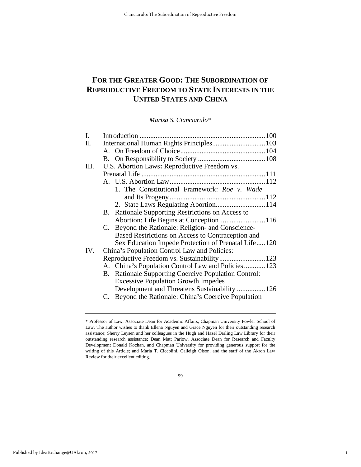# **FOR THE GREATER GOOD: THE SUBORDINATION OF REPRODUCTIVE FREEDOM TO STATE INTERESTS IN THE UNITED STATES AND CHINA**

*Marisa S. Cianciarulo[\\*](#page-1-0)*

| I.  |                                                      |  |
|-----|------------------------------------------------------|--|
| П.  | International Human Rights Principles 103            |  |
|     |                                                      |  |
|     |                                                      |  |
| Ш.  | U.S. Abortion Laws: Reproductive Freedom vs.         |  |
|     |                                                      |  |
|     |                                                      |  |
|     | 1. The Constitutional Framework: Roe v. Wade         |  |
|     |                                                      |  |
|     | 2. State Laws Regulating Abortion 114                |  |
|     | B. Rationale Supporting Restrictions on Access to    |  |
|     |                                                      |  |
|     | C. Beyond the Rationale: Religion- and Conscience-   |  |
|     | Based Restrictions on Access to Contraception and    |  |
|     | Sex Education Impede Protection of Prenatal Life120  |  |
| IV. | China's Population Control Law and Policies:         |  |
|     |                                                      |  |
|     | A. China's Population Control Law and Policies123    |  |
|     | B. Rationale Supporting Coercive Population Control: |  |
|     | <b>Excessive Population Growth Impedes</b>           |  |
|     | Development and Threatens Sustainability  126        |  |
|     | C. Beyond the Rationale: China's Coercive Population |  |

99

1

<span id="page-1-0"></span><sup>\*</sup> Professor of Law, Associate Dean for Academic Affairs, Chapman University Fowler School of Law. The author wishes to thank Ellena Nguyen and Grace Nguyen for their outstanding research assistance; Sherry Leysen and her colleagues in the Hugh and Hazel Darling Law Library for their outstanding research assistance; Dean Matt Parlow, Associate Dean for Research and Faculty Development Donald Kochan, and Chapman University for providing generous support for the writing of this Article; and Maria T. Ciccolini, Calleigh Olson, and the staff of the Akron Law Review for their excellent editing.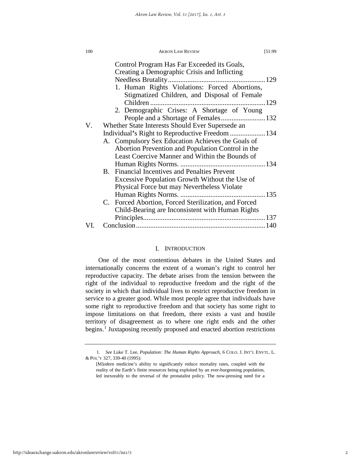| 100 | <b>AKRON LAW REVIEW</b>                                                                                                                                                                                                                                                                        | [51:99 |
|-----|------------------------------------------------------------------------------------------------------------------------------------------------------------------------------------------------------------------------------------------------------------------------------------------------|--------|
| V.  | Control Program Has Far Exceeded its Goals,<br>Creating a Demographic Crisis and Inflicting<br>1. Human Rights Violations: Forced Abortions,<br>Stigmatized Children, and Disposal of Female<br>2. Demographic Crises: A Shortage of Young<br>Whether State Interests Should Ever Supersede an |        |
|     |                                                                                                                                                                                                                                                                                                |        |
|     | A. Compulsory Sex Education Achieves the Goals of<br>Abortion Prevention and Population Control in the<br>Least Coercive Manner and Within the Bounds of                                                                                                                                       |        |
|     | <b>B.</b> Financial Incentives and Penalties Prevent                                                                                                                                                                                                                                           |        |
|     | Excessive Population Growth Without the Use of<br>Physical Force but may Nevertheless Violate                                                                                                                                                                                                  |        |
|     |                                                                                                                                                                                                                                                                                                |        |
|     | C. Forced Abortion, Forced Sterilization, and Forced                                                                                                                                                                                                                                           |        |
|     | Child-Bearing are Inconsistent with Human Rights                                                                                                                                                                                                                                               |        |
| VI. |                                                                                                                                                                                                                                                                                                |        |

# I. INTRODUCTION

One of the most contentious debates in the United States and internationally concerns the extent of a woman's right to control her reproductive capacity. The debate arises from the tension between the right of the individual to reproductive freedom and the right of the society in which that individual lives to restrict reproductive freedom in service to a greater good. While most people agree that individuals have some right to reproductive freedom and that society has some right to impose limitations on that freedom, there exists a vast and hostile territory of disagreement as to where one right ends and the other begins.<sup>[1](#page-2-0)</sup> Juxtaposing recently proposed and enacted abortion restrictions

<span id="page-2-1"></span><span id="page-2-0"></span><sup>1</sup>*. See* Luke T. Lee, *Population: The Human Rights Approach*, 6 COLO. J. INT'L ENVTL. L. & POL'Y 327, 339-40 (1995):

<sup>[</sup>M]odern medicine's ability to significantly reduce mortality rates, coupled with the reality of the Earth's finite resources being exploited by an ever-burgeoning population, led inexorably to the reversal of the pronatalist policy. The now-pressing need for a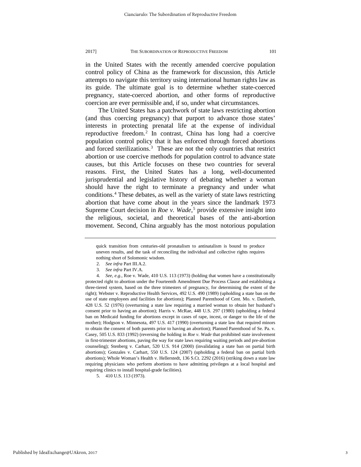in the United States with the recently amended coercive population control policy of China as the framework for discussion, this Article attempts to navigate this territory using international human rights law as its guide. The ultimate goal is to determine whether state-coerced pregnancy, state-coerced abortion, and other forms of reproductive coercion are ever permissible and, if so, under what circumstances.

The United States has a patchwork of state laws restricting abortion (and thus coercing pregnancy) that purport to advance those states' interests in protecting prenatal life at the expense of individual reproductive freedom.[2](#page-3-0) In contrast, China has long had a coercive population control policy that it has enforced through forced abortions and forced sterilizations.<sup>[3](#page-3-1)</sup> These are not the only countries that restrict abortion or use coercive methods for population control to advance state causes, but this Article focuses on these two countries for several reasons. First, the United States has a long, well-documented jurisprudential and legislative history of debating whether a woman should have the right to terminate a pregnancy and under what conditions.[4](#page-3-2) These debates, as well as the variety of state laws restricting abortion that have come about in the years since the landmark 1973 Supreme Court decision in *Roe v. Wade*,<sup>[5](#page-3-3)</sup> provide extensive insight into the religious, societal, and theoretical bases of the anti-abortion movement. Second, China arguably has the most notorious population

<span id="page-3-3"></span>5. 410 U.S. 113 (1973).

quick transition from centuries-old pronatalism to antinatalism is bound to produce uneven results, and the task of reconciling the individual and collective rights requires nothing short of Solomonic wisdom.

<sup>2.</sup> *See infra* Par[t III.A.2.](#page-16-0) 

<sup>3.</sup> *See infra* Par[t IV.A.](#page-25-0)

<span id="page-3-2"></span><span id="page-3-1"></span><span id="page-3-0"></span><sup>4.</sup> *See, e.g.*, Roe v. Wade, 410 U.S. 113 (1973) (holding that women have a constitutionally protected right to abortion under the Fourteenth Amendment Due Process Clause and establishing a three-tiered system, based on the three trimesters of pregnancy, for determining the extent of the right); Webster v. Reproductive Health Services, 492 U.S. 490 (1989) (upholding a state ban on the use of state employees and facilities for abortions); Planned Parenthood of Cent. Mo. v. Danforth, 428 U.S. 52 (1976) (overturning a state law requiring a married woman to obtain her husband's consent prior to having an abortion); Harris v. McRae, 448 U.S. 297 (1980) (upholding a federal ban on Medicaid funding for abortions except in cases of rape, incest, or danger to the life of the mother); Hodgson v. Minnesota, 497 U.S. 417 (1990) (overturning a state law that required minors to obtain the consent of both parents prior to having an abortion); Planned Parenthood of Se. Pa. v. Casey, 505 U.S. 833 (1992) (reversing the holding in *Roe v. Wade* that prohibited state involvement in first-trimester abortions, paving the way for state laws requiring waiting periods and pre-abortion counseling); Stenberg v. Carhart, 520 U.S. 914 (2000) (invalidating a state ban on partial birth abortions); Gonzales v. Carhart, 550 U.S. 124 (2007) (upholding a federal ban on partial birth abortions); Whole Woman's Health v. Hellerstedt, 136 S.Ct. 2292 (2016) (striking down a state law requiring physicians who perform abortions to have admitting privileges at a local hospital and requiring clinics to install hospital-grade facilities).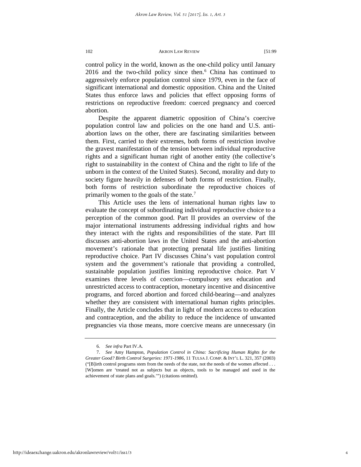control policy in the world, known as the one-child policy until January  $2016$  $2016$  and the two-child policy since then.<sup>6</sup> China has continued to aggressively enforce population control since 1979, even in the face of significant international and domestic opposition. China and the United States thus enforce laws and policies that effect opposing forms of restrictions on reproductive freedom: coerced pregnancy and coerced abortion.

Despite the apparent diametric opposition of China's coercive population control law and policies on the one hand and U.S. antiabortion laws on the other, there are fascinating similarities between them. First, carried to their extremes, both forms of restriction involve the gravest manifestation of the tension between individual reproductive rights and a significant human right of another entity (the collective's right to sustainability in the context of China and the right to life of the unborn in the context of the United States). Second, morality and duty to society figure heavily in defenses of both forms of restriction. Finally, both forms of restriction subordinate the reproductive choices of primarily women to the goals of the state.<sup>[7](#page-4-1)</sup>

<span id="page-4-2"></span>This Article uses the lens of international human rights law to evaluate the concept of subordinating individual reproductive choice to a perception of the common good. Part II provides an overview of the major international instruments addressing individual rights and how they interact with the rights and responsibilities of the state. Part III discusses anti-abortion laws in the United States and the anti-abortion movement's rationale that protecting prenatal life justifies limiting reproductive choice. Part IV discusses China's vast population control system and the government's rationale that providing a controlled, sustainable population justifies limiting reproductive choice. Part V examines three levels of coercion—compulsory sex education and unrestricted access to contraception, monetary incentive and disincentive programs, and forced abortion and forced child-bearing—and analyzes whether they are consistent with international human rights principles. Finally, the Article concludes that in light of modern access to education and contraception, and the ability to reduce the incidence of unwanted pregnancies via those means, more coercive means are unnecessary (in

<sup>6.</sup> *See infra* Par[t IV.A.](#page-25-0)

<span id="page-4-1"></span><span id="page-4-0"></span><sup>7.</sup> *See* Amy Hampton, *Population Control in China: Sacrificing Human Rights for the Greater Good? Birth Control Surgeries: 1971-1986*, 11 TULSA J. COMP. & INT'L L. 321, 357 (2003) ("[B]irth control programs stem from the needs of the state, not the needs of the women affected . . . [W]omen are 'treated not as subjects but as objects, tools to be managed and used in the achievement of state plans and goals.'") (citations omitted).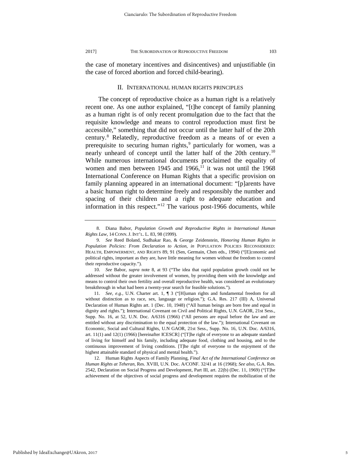the case of monetary incentives and disincentives) and unjustifiable (in the case of forced abortion and forced child-bearing).

# <span id="page-5-8"></span><span id="page-5-7"></span>II. INTERNATIONAL HUMAN RIGHTS PRINCIPLES

<span id="page-5-0"></span>The concept of reproductive choice as a human right is a relatively recent one. As one author explained, "[t]he concept of family planning as a human right is of only recent promulgation due to the fact that the requisite knowledge and means to control reproduction must first be accessible," something that did not occur until the latter half of the 20th century.[8](#page-5-1) Relatedly, reproductive freedom as a means of or even a prerequisite to securing human rights,<sup>[9](#page-5-2)</sup> particularly for women, was a nearly unheard of concept until the latter half of the 20th century.<sup>[10](#page-5-3)</sup> While numerous international documents proclaimed the equality of women and men between 1945 and 1966, $^{11}$  $^{11}$  $^{11}$  it was not until the 1968 International Conference on Human Rights that a specific provision on family planning appeared in an international document: "[p]arents have a basic human right to determine freely and responsibly the number and spacing of their children and a right to adequate education and information in this respect."<sup>[12](#page-5-5)</sup> The various post-1966 documents, while

<span id="page-5-6"></span><span id="page-5-1"></span><sup>8.</sup> Diana Babor, *Population Growth and Reproductive Rights in International Human Rights Law*, 14 CONN. J. INT'L. L. 83, 98 (1999).

<span id="page-5-2"></span><sup>9.</sup> *See* Reed Boland, Sudhakar Rao, & George Zeidenstein, *Honoring Human Rights in Population Policies: From Declaration to Action*, *in* POPULATION POLICIES RECONSIDERED: HEALTH, EMPOWERMENT, AND RIGHTS 89, 91 (Sen, Germain, Chen eds., 1994) ("[E]conomic and political rights, important as they are, have little meaning for women without the freedom to control their reproductive capacity.").

<span id="page-5-3"></span><sup>10.</sup> *See* Babor, *supra* note [8,](#page-5-0) at 93 ("The idea that rapid population growth could not be addressed without the greater involvement of women, by providing them with the knowledge and means to control their own fertility and overall reproductive health, was considered an evolutionary breakthrough in what had been a twenty-year search for feasible solutions.").

<span id="page-5-4"></span><sup>11.</sup> *See*, *e.g.*, U.N. Charter art. 1, ¶ 3 ("[H]uman rights and fundamental freedom for all without distinction as to race, sex, language or religion."); G.A. Res. 217 (III) A, Universal Declaration of Human Rights art. 1 (Dec. 10, 1948) ("All human beings are born free and equal in dignity and rights."); International Covenant on Civil and Political Rights, U.N. GAOR, 21st Sess., Supp. No. 16, at 52, U.N. Doc. A/6316 (1966) ("All persons are equal before the law and are entitled without any discrimination to the equal protection of the law."); International Covenant on Economic, Social and Cultural Rights, U.N GAOR, 21st Sess., Supp. No. 16, U.N. Doc. A/6316, art. 11(1) and 12(1) (1966) [hereinafter ICESCR] ("[T]he right of everyone to an adequate standard of living for himself and his family, including adequate food, clothing and housing, and to the continuous improvement of living conditions. [T]he right of everyone to the enjoyment of the highest attainable standard of physical and mental health.").

<span id="page-5-5"></span><sup>12.</sup> Human Rights Aspects of Family Planning, *Final Act of the International Conference on Human Rights at Teheran,* Res. XVIII, U.N. Doc. A/CONF. 32/41 at 16 (1968); *See also*, G.A. Res. 2542, Declaration on Social Progress and Development, Part III, art. 22(b) (Dec. 11, 1969) ("[T]he achievement of the objectives of social progress and development requires the mobilization of the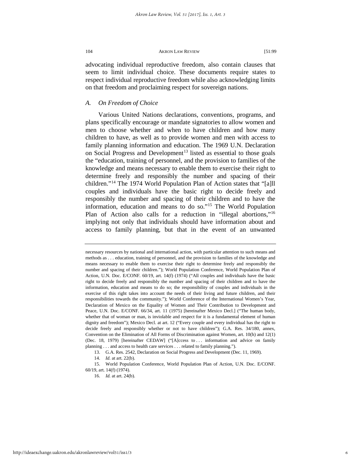advocating individual reproductive freedom, also contain clauses that seem to limit individual choice. These documents require states to respect individual reproductive freedom while also acknowledging limits on that freedom and proclaiming respect for sovereign nations.

# <span id="page-6-4"></span>*A. On Freedom of Choice*

Various United Nations declarations, conventions, programs, and plans specifically encourage or mandate signatories to allow women and men to choose whether and when to have children and how many children to have, as well as to provide women and men with access to family planning information and education. The 1969 U.N. Declaration on Social Progress and Development<sup>[13](#page-6-0)</sup> listed as essential to those goals the "education, training of personnel, and the provision to families of the knowledge and means necessary to enable them to exercise their right to determine freely and responsibly the number and spacing of their children."[14](#page-6-1) The 1974 World Population Plan of Action states that "[a]ll couples and individuals have the basic right to decide freely and responsibly the number and spacing of their children and to have the information, education and means to do so."[15](#page-6-2) The World Population Plan of Action also calls for a reduction in "illegal abortions,"[16](#page-6-3) implying not only that individuals should have information about and access to family planning, but that in the event of an unwanted

necessary resources by national and international action, with particular attention to such means and methods as . . . education, training of personnel, and the provision to families of the knowledge and means necessary to enable them to exercise their right to determine freely and responsibly the number and spacing of their children."); World Population Conference, World Population Plan of Action, U.N. Doc. E/CONF. 60/19, art. 14(f) (1974) ("All couples and individuals have the basic right to decide freely and responsibly the number and spacing of their children and to have the information, education and means to do so; the responsibility of couples and individuals in the exercise of this right takes into account the needs of their living and future children, and their responsibilities towards the community."); World Conference of the International Women's Year, Declaration of Mexico on the Equality of Women and Their Contribution to Development and Peace, U.N. Doc. E/CONF. 66/34, art. 11 (1975) [hereinafter Mexico Decl.] ("The human body, whether that of woman or man, is inviolable and respect for it is a fundamental element of human dignity and freedom"); Mexico Decl. at art. 12 ("Every couple and every individual has the right to decide freely and responsibly whether or not to have children"); G.A. Res. 34/180, annex, Convention on the Elimination of All Forms of Discrimination against Women, art. 10(h) and 12(1) (Dec. 18, 1979) [hereinafter CEDAW] ("[A]ccess to ... information and advice on family planning . . . and access to health care services . . . related to family planning.").

<sup>13.</sup> G.A. Res. 2542, Declaration on Social Progress and Development (Dec. 11, 1969).

<sup>14.</sup> *Id.* at art. 22(b).

<span id="page-6-3"></span><span id="page-6-2"></span><span id="page-6-1"></span><span id="page-6-0"></span><sup>15.</sup> World Population Conference, World Population Plan of Action, U.N. Doc. E/CONF. 60/19, art. 14(f) (1974).

<sup>16.</sup> *Id.* at art. 24(b).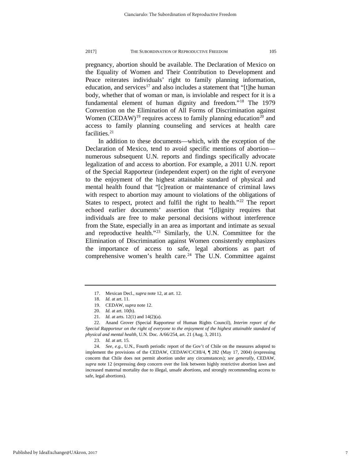pregnancy, abortion should be available. The Declaration of Mexico on the Equality of Women and Their Contribution to Development and Peace reiterates individuals' right to family planning information, education, and services<sup>[17](#page-7-0)</sup> and also includes a statement that "[t]he human body, whether that of woman or man, is inviolable and respect for it is a fundamental element of human dignity and freedom."[18](#page-7-1) The 1979 Convention on the Elimination of All Forms of Discrimination against Women  $(CEDAW)^{19}$  $(CEDAW)^{19}$  $(CEDAW)^{19}$  requires access to family planning education<sup>[20](#page-7-3)</sup> and access to family planning counseling and services at health care facilities.<sup>[21](#page-7-4)</sup>

In addition to these documents—which, with the exception of the Declaration of Mexico, tend to avoid specific mentions of abortion numerous subsequent U.N. reports and findings specifically advocate legalization of and access to abortion. For example, a 2011 U.N. report of the Special Rapporteur (independent expert) on the right of everyone to the enjoyment of the highest attainable standard of physical and mental health found that "[c]reation or maintenance of criminal laws with respect to abortion may amount to violations of the obligations of States to respect, protect and fulfil the right to health."<sup>[22](#page-7-5)</sup> The report echoed earlier documents' assertion that "[d]ignity requires that individuals are free to make personal decisions without interference from the State, especially in an area as important and intimate as sexual and reproductive health."<sup>[23](#page-7-6)</sup> Similarly, the U.N. Committee for the Elimination of Discrimination against Women consistently emphasizes the importance of access to safe, legal abortions as part of comprehensive women's health care. $24$  The U.N. Committee against

<sup>17.</sup> Mexican Decl., *supra* note 12, at art. 12.

<sup>18.</sup> *Id.* at art. 11.

<sup>19.</sup> CEDAW, *supra* note 12.

<sup>20.</sup> *Id.* at art. 10(h).

<sup>21.</sup> *Id.* at arts. 12(1) and 14(2)(a).

<span id="page-7-5"></span><span id="page-7-4"></span><span id="page-7-3"></span><span id="page-7-2"></span><span id="page-7-1"></span><span id="page-7-0"></span><sup>22.</sup> Anand Grover (Special Rapporteur of Human Rights Council), *Interim report of the Special Rapporteur on the right of everyone to the enjoyment of the highest attainable standard of physical and mental health*, U.N. Doc. A/66/254, art. 21 (Aug. 3, 2011).

<sup>23.</sup> *Id.* at art. 15.

<span id="page-7-7"></span><span id="page-7-6"></span><sup>24.</sup> *See*, *e.g.*, U.N., Fourth periodic report of the Gov't of Chile on the measures adopted to implement the provisions of the CEDAW, CEDAW/C/CHI/4, ¶ 282 (May 17, 2004) (expressing concern that Chile does not permit abortion under any circumstances); *see generally*, CEDAW, *supra* note 12 (expressing deep concern over the link between highly restrictive abortion laws and increased maternal mortality due to illegal, unsafe abortions, and strongly recommending access to safe, legal abortions).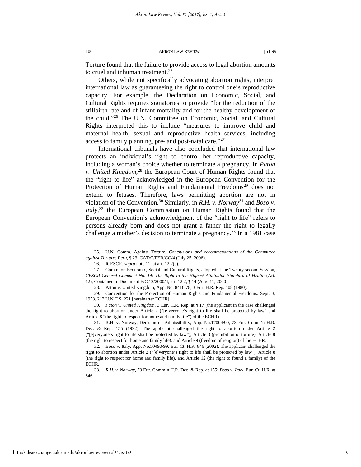Torture found that the failure to provide access to legal abortion amounts to cruel and inhuman treatment.<sup>[25](#page-8-0)</sup>

Others, while not specifically advocating abortion rights, interpret international law as guaranteeing the right to control one's reproductive capacity. For example, the Declaration on Economic, Social, and Cultural Rights requires signatories to provide "for the reduction of the stillbirth rate and of infant mortality and for the healthy development of the child."[26](#page-8-1) The U.N. Committee on Economic, Social, and Cultural Rights interpreted this to include "measures to improve child and maternal health, sexual and reproductive health services, including access to family planning, pre- and post-natal care." $27$ 

International tribunals have also concluded that international law protects an individual's right to control her reproductive capacity, including a woman's choice whether to terminate a pregnancy. In *Paton v. United Kingdom*, [28](#page-8-3) the European Court of Human Rights found that the "right to life" acknowledged in the European Convention for the Protection of Human Rights and Fundamental Freedoms<sup>[29](#page-8-4)</sup> does not extend to fetuses. Therefore, laws permitting abortion are not in violation of the Convention.[30](#page-8-5) Similarly, in *R.H. v. Norway*[31](#page-8-6) and *Boso v. Italy*, [32](#page-8-7) the European Commission on Human Rights found that the European Convention's acknowledgment of the "right to life" refers to persons already born and does not grant a father the right to legally challenge a mother's decision to terminate a pregnancy.<sup>[33](#page-8-8)</sup> In a 1981 case

<span id="page-8-0"></span><sup>25.</sup> U.N. Comm. Against Torture, *Conclusions and recommendations of the Committee against Torture: Peru*, ¶ 23, CAT/C/PER/CO/4 (July 25, 2006).

<sup>26.</sup> ICESCR, *supra* note 11, at art. 12.2(a).

<span id="page-8-2"></span><span id="page-8-1"></span><sup>27.</sup> Comm. on Economic, Social and Cultural Rights, adopted at the Twenty-second Session, *CESCR General Comment No. 14: The Right to the Highest Attainable Standard of Health* (Art. 12), Contained in Document E/C.12/2000/4, art. 12.2, ¶ 14 (Aug. 11, 2000).

<sup>28.</sup> Paton v. United Kingdom, App. No. 8416/78, 3 Eur. H.R. Rep. 408 (1980).

<span id="page-8-4"></span><span id="page-8-3"></span><sup>29.</sup> Convention for the Protection of Human Rights and Fundamental Freedoms, Sept. 3, 1953, 213 U.N.T.S. 221 [hereinafter ECHR].

<span id="page-8-5"></span><sup>30.</sup> *Paton v. United Kingdom*, 3 Eur. H.R. Rep. at ¶ 17 (the applicant in the case challenged the right to abortion under Article 2 ("[e]veryone's right to life shall be protected by law" and Article 8 "the right to respect for home and family life") of the ECHR).

<span id="page-8-6"></span><sup>31.</sup> R.H. v. Norway, Decision on Admissibility, App. No.17004/90, 73 Eur. Comm'n H.R. Dec. & Rep. 155 (1992). The applicant challenged the right to abortion under Article 2 ("[e]veryone's right to life shall be protected by law"), Article 3 (prohibition of torture), Article 8 (the right to respect for home and family life), and Article 9 (freedom of religion) of the ECHR.

<span id="page-8-7"></span><sup>32.</sup> Boso v. Italy, App. No.50490/99, Eur. Ct. H.R. 846 (2002). The applicant challenged the right to abortion under Article 2 ("[e]veryone's right to life shall be protected by law"), Article 8 (the right to respect for home and family life), and Article 12 (the right to found a family) of the ECHR.

<span id="page-8-8"></span><sup>33.</sup> *R.H. v. Norway*, 73 Eur. Comm'n H.R. Dec. & Rep. at 155; *Boso v. Italy*, Eur. Ct. H.R. at 846.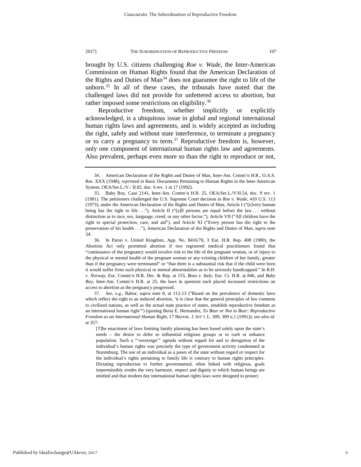brought by U.S. citizens challenging *Roe v. Wade*, the Inter-American Commission on Human Rights found that the American Declaration of the Rights and Duties of Man<sup>[34](#page-9-0)</sup> does not guarantee the right to life of the unborn.<sup>35</sup> In all of these cases, the tribunals have noted that the challenged laws did not provide for unfettered access to abortion, but rather imposed some restrictions on eligibility.<sup>[36](#page-9-2)</sup>

<span id="page-9-4"></span>Reproductive freedom, whether implicitly or explicitly acknowledged, is a ubiquitous issue in global and regional international human rights laws and agreements, and is widely accepted as including the right, safely and without state interference, to terminate a pregnancy or to carry a pregnancy to term.<sup>[37](#page-9-3)</sup> Reproductive freedom is, however, only one component of international human rights law and agreements. Also prevalent, perhaps even more so than the right to reproduce or not,

<span id="page-9-0"></span><sup>34.</sup> American Declaration of the Rights and Duties of Man, Inter-Am. Comm'n H.R., O.A.S. Res. XXX (1948), *reprinted in* Basic Documents Pertaining to Human Rights in the Inter-American System, OEA/Ser.L./V./ II.82, doc. 6 rev. 1 at 17 (1992).

<span id="page-9-1"></span><sup>35.</sup> Baby Boy, Case 2141, Inter-Am. Comm'n H.R. 25, OEA/Ser.L./V/II.54, doc. 9 rev. 1 (1981). The petitioners challenged the U.S. Supreme Court decision in *Roe v. Wade*, 410 U.S. 113 (1973), under the American Declaration of the Rights and Duties of Man, Article I ("[e]very human being has the right to life . . ."), Article II ("[a]ll persons are equal before the law . . . without distinction as to race, sex, language, creed, or any other factor,"), Article VII ("All children have the right to special protection, care, and aid"), and Article XI ("Every person has the right to the preservation of his health . . ."), American Declaration of the Rights and Duties of Man, *supra* note 34.

<span id="page-9-2"></span><sup>36.</sup> In Paton v. United Kingdom, App. No. 8416/78, 3 Eur. H.R. Rep. 408 (1980), the Abortion Act only permitted abortion if two registered medical practitioners found that "continuance of the pregnancy would involve risk to the life of the pregnant woman, or of injury to the physical or mental health of the pregnant woman or any existing children of her family, greater than if the pregnancy were terminated" or "that there is a substantial risk that if the child were born it would suffer from such physical or mental abnormalities as to be seriously handicapped." In *R.H. v. Norway*, Eur. Comm'n H.R. Dec. & Rep. at 155, *Boso v. Italy*, Eur. Ct. H.R. at 846, and *Baby Boy*, Inter-Am. Comm'n H.R. at 25, the laws in question each placed increased restrictions on access to abortion as the pregnancy progressed.

<span id="page-9-3"></span><sup>37.</sup> *See*, *e.g.*, Babor, *supra* note [8,](#page-5-0) at 112-13 ("Based on the prevalence of domestic laws which reflect the right to an induced abortion, 'it is clear that the general principles of law common to civilized nations, as well as the actual state practice of states, establish reproductive freedom as an international human right'") (quoting Berta E. Hernandez, *To Bear or Not to Bear: Reproductive Freedom as an International Human Right*, 17 BROOK. J. INT'L L. 309, 309 n.1 (1991)); *see also id.*  at 357:

<sup>[</sup>T]he enactment of laws limiting family planning has been based solely upon the state's needs – the desire to defer to influential religious groups or to curb or enhance population. Such a "'sovereign'" agenda without regard for and in derogation of the individual's human rights was precisely the type of government activity condemned at Nuremburg. The use of an individual as a pawn of the state without regard or respect for the individual's rights pertaining to family life is contrary to human rights principles. Dictating reproduction to further governmental, often linked with religious, goals impermissibly erodes the very harmony, respect and dignity to which human beings are entitled and that modern day international human rights laws were designed to protect.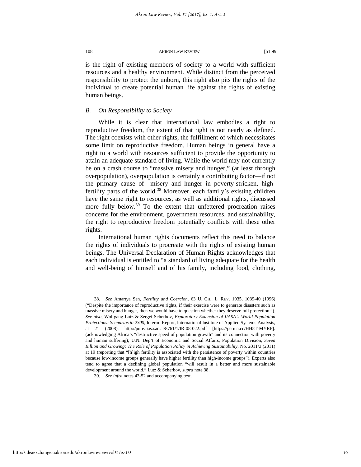is the right of existing members of society to a world with sufficient resources and a healthy environment. While distinct from the perceived responsibility to protect the unborn, this right also pits the rights of the individual to create potential human life against the rights of existing human beings.

# *B. On Responsibility to Society*

While it is clear that international law embodies a right to reproductive freedom, the extent of that right is not nearly as defined. The right coexists with other rights, the fulfillment of which necessitates some limit on reproductive freedom. Human beings in general have a right to a world with resources sufficient to provide the opportunity to attain an adequate standard of living. While the world may not currently be on a crash course to "massive misery and hunger," (at least through overpopulation), overpopulation is certainly a contributing factor—if not the primary cause of—misery and hunger in poverty-stricken, high-fertility parts of the world.<sup>[38](#page-10-0)</sup> Moreover, each family's existing children have the same right to resources, as well as additional rights, discussed more fully below.<sup>[39](#page-10-1)</sup> To the extent that unfettered procreation raises concerns for the environment, government resources, and sustainability, the right to reproductive freedom potentially conflicts with these other rights.

<span id="page-10-2"></span>International human rights documents reflect this need to balance the rights of individuals to procreate with the rights of existing human beings. The Universal Declaration of Human Rights acknowledges that each individual is entitled to "a standard of living adequate for the health and well-being of himself and of his family, including food, clothing,

<span id="page-10-0"></span><sup>38.</sup> *See* Amartya Sen, *Fertility and Coercion*, 63 U. CHI. L. REV. 1035, 1039-40 (1996) ("Despite the importance of reproductive rights, if their exercise were to generate disasters such as massive misery and hunger, then we would have to question whether they deserve full protection."). *See also*, Wolfgang Lutz & Sergei Scherbov, *Exploratory Extension of IIASA's World Population Projections: Scenarios to 2300*, Interim Report, International Institute of Applied Systems Analysis, at 21 (2008), http://pure.iiasa.ac.at/8761/1/IR-08-022.pdf [https://perma.cc/HH5T-MYRF]. (acknowledging Africa's "destructive speed of population growth" and its connection with poverty and human suffering); U.N. Dep't of Economic and Social Affairs, Population Division, *Seven Billion and Growing: The Role of Population Policy in Achieving Sustainability*, No. 2011/3 (2011) at 19 (reporting that "[h]igh fertility is associated with the persistence of poverty within countries because low-income groups generally have higher fertility than high-income groups"). Experts also tend to agree that a declining global population "will result in a better and more sustainable development around the world." Lutz & Scherbov, *supra* note 38.

<span id="page-10-1"></span><sup>39.</sup> *See infra* note[s 43-](#page-11-0)[52](#page-11-1) and accompanying text.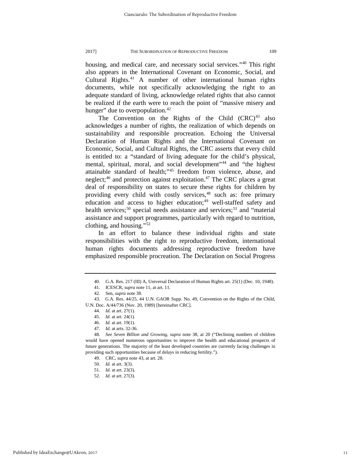housing, and medical care, and necessary social services."[40](#page-11-2) This right also appears in the International Covenant on Economic, Social, and Cultural Rights.<sup>[41](#page-11-3)</sup> A number of other international human rights documents, while not specifically acknowledging the right to an adequate standard of living, acknowledge related rights that also cannot be realized if the earth were to reach the point of "massive misery and hunger" due to overpopulation.<sup>[42](#page-11-4)</sup>

The Convention on the Rights of the Child  $(CRC)^{43}$  $(CRC)^{43}$  $(CRC)^{43}$  also acknowledges a number of rights, the realization of which depends on sustainability and responsible procreation. Echoing the Universal Declaration of Human Rights and the International Covenant on Economic, Social, and Cultural Rights, the CRC asserts that every child is entitled to: a "standard of living adequate for the child's physical, mental, spiritual, moral, and social development"<sup>[44](#page-11-6)</sup> and "the highest attainable standard of health;"[45](#page-11-7) freedom from violence, abuse, and neglect;<sup>[46](#page-11-8)</sup> and protection against exploitation.<sup>[47](#page-11-9)</sup> The CRC places a great deal of responsibility on states to secure these rights for children by providing every child with costly services,<sup>48</sup> such as: free primary education and access to higher education; $49$  well-staffed safety and health services;<sup>[50](#page-11-12)</sup> special needs assistance and services;<sup>[51](#page-11-13)</sup> and "material" assistance and support programmes, particularly with regard to nutrition, clothing, and housing."[52](#page-11-14)

<span id="page-11-1"></span>In an effort to balance these individual rights and state responsibilities with the right to reproductive freedom, international human rights documents addressing reproductive freedom have emphasized responsible procreation. The Declaration on Social Progress

<span id="page-11-0"></span>

<sup>40.</sup> G.A. Res. 217 (III) A, Universal Declaration of Human Rights art. 25(1) (Dec. 10, 1948).

<sup>41.</sup> ICESCR, *supra* note 11, at art. 11.

<sup>42.</sup> Sen, *supra* not[e 38.](#page-10-2) 

<span id="page-11-6"></span><span id="page-11-5"></span><span id="page-11-4"></span><span id="page-11-3"></span><span id="page-11-2"></span><sup>43.</sup> G.A. Res. 44/25, 44 U.N. GAOR Supp. No. 49, Convention on the Rights of the Child, U.N. Doc. A/44/736 (Nov. 20, 1989) [hereinafter CRC].

<sup>44.</sup> *Id.* at art. 27(1).

<sup>45.</sup> *Id.* at art. 24(1).

<sup>46.</sup> *Id.* at art. 19(1).

<sup>47.</sup> *Id.* at arts. 32-36.

<span id="page-11-13"></span><span id="page-11-12"></span><span id="page-11-11"></span><span id="page-11-10"></span><span id="page-11-9"></span><span id="page-11-8"></span><span id="page-11-7"></span><sup>48.</sup> *See Seven Billion and Growing*, *supra* note [38,](#page-10-2) at 20 ("Declining numbers of children would have opened numerous opportunities to improve the health and educational prospects of future generations. The majority of the least developed countries are currently facing challenges in providing such opportunities because of delays in reducing fertility.").

<sup>49.</sup> CRC, *supra* note 43, at art. 28.

<sup>50.</sup> *Id.* at art. 3(3).

<span id="page-11-14"></span><sup>51.</sup> *Id.* at art. 23(3). 52. *Id.* at art. 27(3).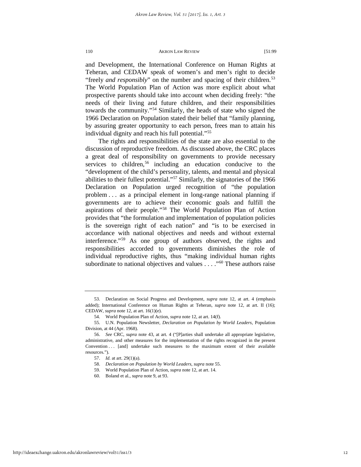and Development, the International Conference on Human Rights at Teheran, and CEDAW speak of women's and men's right to decide "freely *and responsibly*" on the number and spacing of their children.<sup>53</sup> The World Population Plan of Action was more explicit about what prospective parents should take into account when deciding freely: "the needs of their living and future children, and their responsibilities towards the community."[54](#page-12-2) Similarly, the heads of state who signed the 1966 Declaration on Population stated their belief that "family planning, by assuring greater opportunity to each person, frees man to attain his individual dignity and reach his full potential."[55](#page-12-3)

<span id="page-12-0"></span>The rights and responsibilities of the state are also essential to the discussion of reproductive freedom. As discussed above, the CRC places a great deal of responsibility on governments to provide necessary services to children,<sup>[56](#page-12-4)</sup> including an education conducive to the "development of the child's personality, talents, and mental and physical abilities to their fullest potential."[57](#page-12-5) Similarly, the signatories of the 1966 Declaration on Population urged recognition of "the population problem . . . as a principal element in long-range national planning if governments are to achieve their economic goals and fulfill the aspirations of their people."[58](#page-12-6) The World Population Plan of Action provides that "the formulation and implementation of population policies is the sovereign right of each nation" and "is to be exercised in accordance with national objectives and needs and without external interference."[59](#page-12-7) As one group of authors observed, the rights and responsibilities accorded to governments diminishes the role of individual reproductive rights, thus "making individual human rights subordinate to national objectives and values  $\dots$  ."<sup>[60](#page-12-8)</sup> These authors raise

<span id="page-12-1"></span><sup>53.</sup> Declaration on Social Progress and Development, *supra* note 12, at art. 4 (emphasis added); International Conference on Human Rights at Teheran, *supra* note [12,](#page-5-6) at art. II (16); CEDAW, *supra* note 12, at art. 16(1)(e).

<sup>54.</sup> World Population Plan of Action, *supra* note [12,](#page-5-6) at art. 14(f).

<span id="page-12-3"></span><span id="page-12-2"></span><sup>55.</sup> U.N. Population Newsletter, *Declaration on Population by World Leaders,* Population Division, at 44 (Apr. 1968).

<span id="page-12-7"></span><span id="page-12-6"></span><span id="page-12-5"></span><span id="page-12-4"></span><sup>56.</sup> *See* CRC, *supra* note [43,](#page-11-0) at art. 4 ("[P]arties shall undertake all appropriate legislative, administrative, and other measures for the implementation of the rights recognized in the present Convention . . . [and] undertake such measures to the maximum extent of their available resources.").

<sup>57.</sup> *Id.* at art. 29(1)(a).

<sup>58.</sup> *Declaration on Population by World Leaders*, *supra* not[e 55.](#page-12-0) 

<sup>59.</sup> World Population Plan of Action, *supra* note [12,](#page-5-6) at art. 14.

<span id="page-12-8"></span><sup>60.</sup> Boland et al., *supra* not[e 9,](#page-5-7) at 93.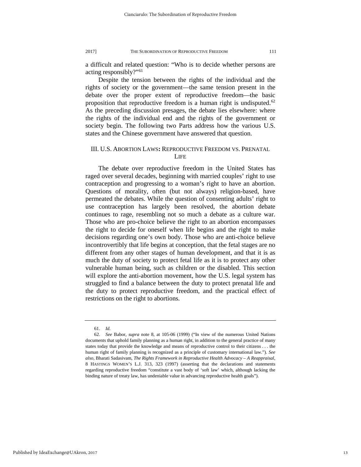a difficult and related question: "Who is to decide whether persons are acting responsibly?"<sup>[61](#page-13-0)</sup>

Despite the tension between the rights of the individual and the rights of society or the government—the same tension present in the debate over the proper extent of reproductive freedom—the basic proposition that reproductive freedom is a human right is undisputed.<sup>[62](#page-13-1)</sup> As the preceding discussion presages, the debate lies elsewhere: where the rights of the individual end and the rights of the government or society begin. The following two Parts address how the various U.S. states and the Chinese government have answered that question.

# III. U.S. ABORTION LAWS**:** REPRODUCTIVE FREEDOM VS. PRENATAL LIFE

The debate over reproductive freedom in the United States has raged over several decades, beginning with married couples' right to use contraception and progressing to a woman's right to have an abortion. Questions of morality, often (but not always) religion-based, have permeated the debates. While the question of consenting adults' right to use contraception has largely been resolved, the abortion debate continues to rage, resembling not so much a debate as a culture war. Those who are pro-choice believe the right to an abortion encompasses the right to decide for oneself when life begins and the right to make decisions regarding one's own body. Those who are anti-choice believe incontrovertibly that life begins at conception, that the fetal stages are no different from any other stages of human development, and that it is as much the duty of society to protect fetal life as it is to protect any other vulnerable human being, such as children or the disabled. This section will explore the anti-abortion movement, how the U.S. legal system has struggled to find a balance between the duty to protect prenatal life and the duty to protect reproductive freedom, and the practical effect of restrictions on the right to abortions.

<sup>61.</sup> *Id.*

<span id="page-13-1"></span><span id="page-13-0"></span><sup>62.</sup> *See* Babor, *supra* note [8,](#page-5-0) at 105-06 (1999) ("In view of the numerous United Nations documents that uphold family planning as a human right, in addition to the general practice of many states today that provide the knowledge and means of reproductive control to their citizens . . . the human right of family planning is recognized as a principle of customary international law."). *See also*, Bharati Sadasivam, *The Rights Framework in Reproductive Health Advocacy – A Reappraisal*, 8 HASTINGS WOMEN'S L.J. 313, 323 (1997) (asserting that the declarations and statements regarding reproductive freedom "constitute a vast body of 'soft law' which, although lacking the binding nature of treaty law, has undeniable value in advancing reproductive health goals").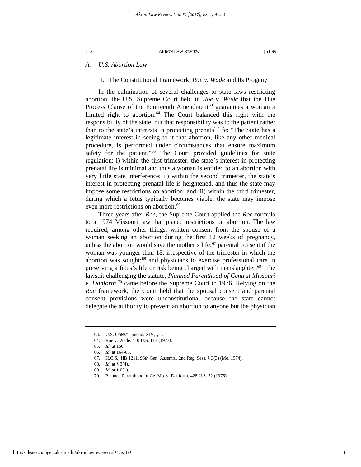# *A. U.S. Abortion Law*

1. The Constitutional Framework: *Roe v. Wade* and Its Progeny

In the culmination of several challenges to state laws restricting abortion, the U.S. Supreme Court held in *Roe v. Wade* that the Due Process Clause of the Fourteenth Amendment<sup>[63](#page-14-0)</sup> guarantees a woman a limited right to abortion.<sup>64</sup> The Court balanced this right with the responsibility of the state, but that responsibility was to the patient rather than to the state's interests in protecting prenatal life: "The State has a legitimate interest in seeing to it that abortion, like any other medical procedure, is performed under circumstances that ensure maximum safety for the patient."<sup>[65](#page-14-2)</sup> The Court provided guidelines for state regulation: i) within the first trimester, the state's interest in protecting prenatal life is minimal and thus a woman is entitled to an abortion with very little state interference; ii) within the second trimester, the state's interest in protecting prenatal life is heightened, and thus the state may impose some restrictions on abortion; and iii) within the third trimester, during which a fetus typically becomes viable, the state may impose even more restrictions on abortion.<sup>[66](#page-14-3)</sup>

Three years after *Roe*, the Supreme Court applied the *Roe* formula to a 1974 Missouri law that placed restrictions on abortion. The law required, among other things, written consent from the spouse of a woman seeking an abortion during the first 12 weeks of pregnancy, unless the abortion would save the mother's life; $67$  parental consent if the woman was younger than 18, irrespective of the trimester in which the abortion was sought;<sup>[68](#page-14-5)</sup> and physicians to exercise professional care in preserving a fetus's life or risk being charged with manslaughter.[69](#page-14-6) The lawsuit challenging the statute, *Planned Parenthood of Central Missouri v. Danforth*, [70](#page-14-7) came before the Supreme Court in 1976. Relying on the *Roe* framework, the Court held that the spousal consent and parental consent provisions were unconstitutional because the state cannot delegate the authority to prevent an abortion to anyone but the physician

<span id="page-14-0"></span><sup>63.</sup> U.S. CONST. amend. XIV, § 1.

<span id="page-14-1"></span><sup>64.</sup> Roe v. Wade, 410 U.S. 113 (1973).

<sup>65.</sup> *Id.* at 150.

<sup>66.</sup> *Id.* at 164-65.

<span id="page-14-4"></span><span id="page-14-3"></span><span id="page-14-2"></span><sup>67.</sup> H.C.S., HB 1211, 96th Gen. Assemb., 2nd Reg. Sess. § 3(3) (Mo. 1974).

<sup>68.</sup> *Id*. at § 3(4).

<span id="page-14-7"></span><span id="page-14-6"></span><span id="page-14-5"></span><sup>69.</sup> *Id*. at § 6(1).

<sup>70.</sup> Planned Parenthood of Ce. Mo. v. Danforth, 428 U.S. 52 (1976).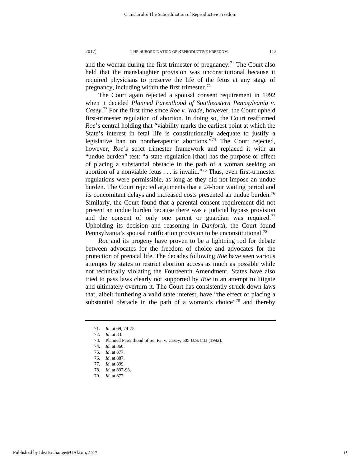and the woman during the first trimester of pregnancy.<sup>[71](#page-15-0)</sup> The Court also held that the manslaughter provision was unconstitutional because it required physicians to preserve the life of the fetus at any stage of pregnancy, including within the first trimester[.72](#page-15-1)

The Court again rejected a spousal consent requirement in 1992 when it decided *Planned Parenthood of Southeastern Pennsylvania v. Casey*. [73](#page-15-2) For the first time since *Roe v. Wade*, however, the Court upheld first-trimester regulation of abortion. In doing so, the Court reaffirmed *Roe*'s central holding that "viability marks the earliest point at which the State's interest in fetal life is constitutionally adequate to justify a legislative ban on nontherapeutic abortions."[74](#page-15-3) The Court rejected, however, *Roe's* strict trimester framework and replaced it with an "undue burden" test: "a state regulation [that] has the purpose or effect of placing a substantial obstacle in the path of a woman seeking an abortion of a nonviable fetus  $\dots$  is invalid."<sup>[75](#page-15-4)</sup> Thus, even first-trimester regulations were permissible, as long as they did not impose an undue burden. The Court rejected arguments that a 24-hour waiting period and its concomitant delays and increased costs presented an undue burden.<sup>[76](#page-15-5)</sup> Similarly, the Court found that a parental consent requirement did not present an undue burden because there was a judicial bypass provision and the consent of only one parent or guardian was required.<sup>[77](#page-15-6)</sup> Upholding its decision and reasoning in *Danforth*, the Court found Pennsylvania's spousal notification provision to be unconstitutional.<sup>[78](#page-15-7)</sup>

*Roe* and its progeny have proven to be a lightning rod for debate between advocates for the freedom of choice and advocates for the protection of prenatal life. The decades following *Roe* have seen various attempts by states to restrict abortion access as much as possible while not technically violating the Fourteenth Amendment. States have also tried to pass laws clearly not supported by *Roe* in an attempt to litigate and ultimately overturn it. The Court has consistently struck down laws that, albeit furthering a valid state interest, have "the effect of placing a substantial obstacle in the path of a woman's choice"<sup>[79](#page-15-8)</sup> and thereby

<sup>71.</sup> *Id*. at 69, 74-75.

<sup>72.</sup> *Id*. at 83.

<span id="page-15-2"></span><span id="page-15-1"></span><span id="page-15-0"></span><sup>73.</sup> Planned Parenthood of Se. Pa. v. Casey, 505 U.S. 833 (1992).

<span id="page-15-5"></span><span id="page-15-4"></span><span id="page-15-3"></span><sup>74.</sup> *Id.* at 860.

<sup>75.</sup> *Id*. at 877.

<sup>76.</sup> *Id*. at 887.

<span id="page-15-7"></span><span id="page-15-6"></span><sup>77.</sup> *Id*. at 899.

<span id="page-15-8"></span><sup>78.</sup> *Id*. at 897-98.

<sup>79.</sup> *Id.* at 877.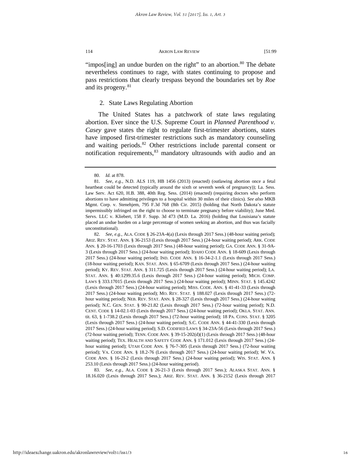"impos[ing] an undue burden on the right" to an abortion.<sup>[80](#page-16-1)</sup> The debate nevertheless continues to rage, with states continuing to propose and pass restrictions that clearly trespass beyond the boundaries set by *Roe* and its progeny.<sup>[81](#page-16-2)</sup>

# <span id="page-16-0"></span>2. State Laws Regulating Abortion

The United States has a patchwork of state laws regulating abortion. Ever since the U.S. Supreme Court in *Planned Parenthood v. Casey* gave states the right to regulate first-trimester abortions, states have imposed first-trimester restrictions such as mandatory counseling and waiting periods.<sup>[82](#page-16-3)</sup> Other restrictions include parental consent or notification requirements, <sup>83</sup> mandatory ultrasounds with audio and an

<span id="page-16-4"></span>83. *See*, *e.g.*, ALA. CODE § 26-21-3 (Lexis through 2017 Sess.); ALASKA STAT. ANN. § 18.16.020 (Lexis through 2017 Sess.); ARIZ. REV. STAT. ANN. § 36-2152 (Lexis through 2017

<sup>80.</sup> *Id.* at 878.

<span id="page-16-2"></span><span id="page-16-1"></span><sup>81.</sup> *See*, *e.g.*, N.D. ALS 119, HB 1456 (2013) (enacted) (outlawing abortion once a fetal heartbeat could be detected (typically around the sixth or seventh week of pregnancy)); La. Sess. Law Serv. Act 620, H.B. 388, 40th Reg. Sess. (2014) (enacted) (requiring doctors who perform abortions to have admitting privileges to a hospital within 30 miles of their clinics). *See also* MKB Mgmt. Corp. v. Stenehjem, 795 F.3d 768 (8th Cir. 2015) (holding that North Dakota's statute impermissibly infringed on the right to choose to terminate pregnancy before viability); June Med. Servs. LLC v. Kliebert, 158 F. Supp. 3d 473 (M.D. La. 2016) (holding that Louisiana's statute placed an undue burden on a large percentage of women seeking an abortion, and thus was facially unconstitutional).

<span id="page-16-3"></span><sup>82.</sup> *See*, *e.g.*, ALA. CODE § 26-23A-4(a) (Lexis through 2017 Sess.) (48-hour waiting period); ARIZ. REV. STAT. ANN. § 36-2153 (Lexis through 2017 Sess.) (24-hour waiting period); ARK. CODE ANN. § 20-16-1703 (Lexis through 2017 Sess.) (48-hour waiting period); GA. CODE ANN. § 31-9A-3 (Lexis through 2017 Sess.) (24-hour waiting period); IDAHO CODE ANN. § 18-609 (Lexis through 2017 Sess.) (24-hour waiting period); IND. CODE ANN. § 16-34-2-1.1 (Lexis through 2017 Sess.) (18-hour waiting period); KAN. STAT. ANN. § 65-6709 (Lexis through 2017 Sess.) (24-hour waiting period); KY. REV. STAT. ANN. § 311.725 (Lexis through 2017 Sess.) (24-hour waiting period); LA. STAT. ANN. § 40:1299.35.6 (Lexis through 2017 Sess.) (24-hour waiting period); MICH. COMP. LAWS § 333.17015 (Lexis through 2017 Sess.) (24-hour waiting period); MINN. STAT. § 145.4242 (Lexis through 2017 Sess.) (24-hour waiting period); MISS. CODE. ANN. § 41-41-33 (Lexis through 2017 Sess.) (24-hour waiting period); MO. REV. STAT. § 188.027 (Lexis through 2017 Sess.) (72 hour waiting period); NEB. REV. STAT. ANN. § 28-327 (Lexis through 2017 Sess.) (24-hour waiting period); N.C. GEN. STAT. § 90-21.82 (Lexis through 2017 Sess.) (72-hour waiting period); N.D. CENT. CODE § 14-02.1-03 (Lexis through 2017 Sess.) (24-hour waiting period); OKLA. STAT. ANN. tit. 63, § 1-738.2 (Lexis through 2017 Sess.) (72-hour waiting period); 18 PA. CONS. STAT. § 3205 (Lexis through 2017 Sess.) (24-hour waiting period); S.C. CODE ANN. § 44-41-330 (Lexis through 2017 Sess.) (24-hour waiting period); S.D. CODIFIED LAWS § 34-23A-56 (Lexis through 2017 Sess.) (72-hour waiting period); TENN. CODE ANN. § 39-15-202(d)(1) (Lexis through 2017 Sess.) (48-hour waiting period); TEX. HEALTH AND SAFETY CODE ANN. § 171.012 (Lexis through 2017 Sess.) (24 hour waiting period); UTAH CODE ANN. § 76-7-305 (Lexis through 2017 Sess.) (72-hour waiting period); VA. CODE ANN. § 18.2-76 (Lexis through 2017 Sess.) (24-hour waiting period); W. VA. CODE ANN. § 16-2I-2 (Lexis through 2017 Sess.) (24-hour waiting period); WIS. STAT. ANN. § 253.10 (Lexis through 2017 Sess.) (24-hour waiting period).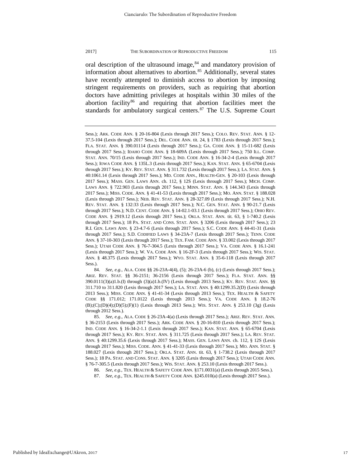oral description of the ultrasound image,<sup>[84](#page-17-0)</sup> and mandatory provision of information about alternatives to abortion.<sup>[85](#page-17-1)</sup> Additionally, several states have recently attempted to diminish access to abortion by imposing stringent requirements on providers, such as requiring that abortion doctors have admitting privileges at hospitals within 30 miles of the abortion facility<sup>86</sup> and requiring that abortion facilities meet the standards for ambulatory surgical centers. $87$  The U.S. Supreme Court

Sess.); ARK. CODE ANN. § 20-16-804 (Lexis through 2017 Sess.); COLO. REV. STAT. ANN. § 12- 37.5-104 (Lexis through 2017 Sess.); DEL. CODE ANN. tit. 24, § 1783 (Lexis through 2017 Sess.); FLA. STAT. ANN. § 390.01114 (Lexis through 2017 Sess.); GA. CODE ANN. § 15-11-682 (Lexis through 2017 Sess.); IDAHO CODE ANN. § 18-609A (Lexis through 2017 Sess.); 750 ILL. COMP. STAT. ANN. 70/15 (Lexis through 2017 Sess.); IND. CODE ANN. § 16-34-2-4 (Lexis through 2017 Sess.); IOWA CODE ANN. § 135L.3 (Lexis through 2017 Sess.); KAN. STAT. ANN. § 65-6704 (Lexis through 2017 Sess.); KY. REV. STAT. ANN. § 311.732 (Lexis through 2017 Sess.); LA. STAT. ANN. § 40:1061.14 (Lexis through 2017 Sess.); MD. CODE ANN., HEALTH-GEN. § 20-103 (Lexis through 2017 Sess.); MASS. GEN. LAWS ANN. ch. 112, § 12S (Lexis through 2017 Sess.); MICH. COMP. LAWS ANN. § 722.903 (Lexis through 2017 Sess.); MINN. STAT. ANN. § 144.343 (Lexis through 2017 Sess.); MISS. CODE. ANN. § 41-41-53 (Lexis through 2017 Sess.); MO. ANN. STAT. § 188.028 (Lexis through 2017 Sess.); NEB. REV. STAT. ANN. § 28-327.09 (Lexis through 2017 Sess.); N.H. REV. STAT. ANN. § 132:33 (Lexis through 2017 Sess.); N.C. GEN. STAT. ANN. § 90-21.7 (Lexis through 2017 Sess.); N.D. CENT. CODE ANN. § 14-02.1-03.1 (Lexis through 2017 Sess.); OHIO REV. CODE ANN. § 2919.12 (Lexis through 2017 Sess.); OKLA. STAT. ANN. tit. 63, § 1-740.2 (Lexis through 2017 Sess.); 18 PA. STAT. AND CONS. STAT. ANN. § 3206 (Lexis through 2017 Sess.); 23 R.I. GEN. LAWS ANN. § 23-4.7-6 (Lexis through 2017 Sess.); S.C. CODE ANN. § 44-41-31 (Lexis through 2017 Sess.); S.D. CODIFIED LAWS § 34-23A-7 (Lexis through 2017 Sess.); TENN. CODE ANN. § 37-10-303 (Lexis through 2017 Sess.); TEX. FAM. CODE ANN. § 33.002 (Lexis through 2017 Sess.); UTAH CODE ANN. § 76-7-304.5 (Lexis through 2017 Sess.); VA. CODE ANN. § 16.1-241 (Lexis through 2017 Sess.); W. VA. CODE ANN. § 16-2F-3 (Lexis through 2017 Sess.); WIS. STAT. ANN. § 48.375 (Lexis through 2017 Sess.); WYO. STAT. ANN. § 35-6-118 (Lexis through 2017 Sess.).

<span id="page-17-0"></span><sup>84.</sup> *See*, *e.g.*, ALA. CODE §§ 26-23A-4(4), (5); 26-23A-6 (b), (c) (Lexis through 2017 Sess.); ARIZ. REV. STAT. §§ 36-2151; 36-2156 (Lexis through 2017 Sess.); FLA. STAT. ANN. §§ 390.0111(3)(a)1.b.(I) through (3)(a)1.b.(IV) (Lexis through 2013 Sess.); KY. REV. STAT. ANN. §§ 311.710 to 311.820 (Lexis through 2017 Sess.); LA. STAT. ANN. § 40:1299.35.2(D) (Lexis through 2013 Sess.); MISS. CODE ANN. § 41-41-34 (Lexis through 2013 Sess.); TEX. HEALTH & SAFETY CODE §§ 171.012; 171.0122 (Lexis through 2013 Sess.); VA. CODE ANN. § 18.2-76 (B);(C);(D)(4);(D)(5);(F)(1) (Lexis through 2013 Sess.); WIS. STAT. ANN. § 253.10 (3g) (Lexis through 2012 Sess.).

<span id="page-17-1"></span><sup>85.</sup> *See*, *e.g.*, ALA. CODE § 26-23A-4(a) (Lexis through 2017 Sess.); ARIZ. REV. STAT. ANN. § 36-2153 (Lexis through 2017 Sess.); ARK. CODE ANN. § 20-16-810 (Lexis through 2017 Sess.); IND. CODE ANN. § 16-34-2-1.1 (Lexis through 2017 Sess.); KAN. STAT. ANN. § 65-6704 (Lexis through 2017 Sess.); KY. REV. STAT. ANN. § 311.725 (Lexis through 2017 Sess.); LA. REV. STAT. ANN. § 40:1299.35.6 (Lexis through 2017 Sess.); MASS. GEN. LAWS ANN. ch. 112, § 12S (Lexis through 2017 Sess.); MISS. CODE. ANN. § 41-41-33 (Lexis through 2017 Sess.); MO. ANN. STAT. § 188.027 (Lexis through 2017 Sess.); OKLA. STAT. ANN. tit. 63, § 1-738.2 (Lexis through 2017 Sess.); 18 PA. STAT. AND CONS. STAT. ANN. § 3205 (Lexis through 2017 Sess.); UTAH CODE ANN. § 76-7-305.5 (Lexis through 2017 Sess.); WIS. STAT. ANN. § 253.10 (Lexis through 2017 Sess.).

<span id="page-17-3"></span><span id="page-17-2"></span><sup>86.</sup> *See*, *e.g.*, TEX. HEALTH & SAFETY CODE ANN. §171.0031(a) (Lexis through 2015 Sess.).

<sup>87.</sup> *See*, *e.g.*, TEX. HEALTH & SAFETY CODE ANN. §245.010(a) (Lexis through 2017 Sess.).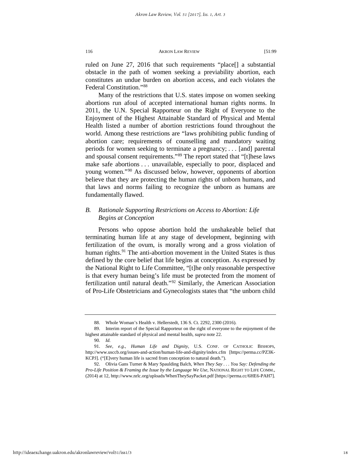ruled on June 27, 2016 that such requirements "place[] a substantial obstacle in the path of women seeking a previability abortion, each constitutes an undue burden on abortion access, and each violates the Federal Constitution."[88](#page-18-0)

Many of the restrictions that U.S. states impose on women seeking abortions run afoul of accepted international human rights norms. In 2011, the U.N. Special Rapporteur on the Right of Everyone to the Enjoyment of the Highest Attainable Standard of Physical and Mental Health listed a number of abortion restrictions found throughout the world. Among these restrictions are "laws prohibiting public funding of abortion care; requirements of counselling and mandatory waiting periods for women seeking to terminate a pregnancy; . . . [and] parental and spousal consent requirements."[89](#page-18-1) The report stated that "[t]hese laws make safe abortions . . . unavailable, especially to poor, displaced and young women."[90](#page-18-2) As discussed below, however, opponents of abortion believe that they are protecting the human rights of unborn humans, and that laws and norms failing to recognize the unborn as humans are fundamentally flawed.

# *B. Rationale Supporting Restrictions on Access to Abortion: Life Begins at Conception*

Persons who oppose abortion hold the unshakeable belief that terminating human life at any stage of development, beginning with fertilization of the ovum, is morally wrong and a gross violation of human rights.<sup>[91](#page-18-3)</sup> The anti-abortion movement in the United States is thus defined by the core belief that life begins at conception. As expressed by the National Right to Life Committee, "[t]he only reasonable perspective is that every human being's life must be protected from the moment of fertilization until natural death."[92](#page-18-4) Similarly, the American Association of Pro-Life Obstetricians and Gynecologists states that "the unborn child

<sup>88.</sup> Whole Woman's Health v. Hellerstedt, 136 S. Ct. 2292, 2300 (2016).

<span id="page-18-2"></span><span id="page-18-1"></span><span id="page-18-0"></span><sup>89.</sup> Interim report of the Special Rapporteur on the right of everyone to the enjoyment of the highest attainable standard of physical and mental health, *supra* note 22.

<sup>90.</sup> *Id.*

<span id="page-18-3"></span><sup>91.</sup> *See*, *e.g.*, *Human Life and Dignity*, U.S. CONF. OF CATHOLIC BISHOPS, http://www.usccb.org/issues-and-action/human-life-and-dignity/index.cfm [https://perma.cc/PZ3K-KCPJ]. ("[E]very human life is sacred from conception to natural death.").

<span id="page-18-4"></span><sup>92.</sup> Olivia Gans Turner & Mary Spaulding Balch, *When They Say . . . You Say: Defending the Pro-Life Position & Framing the Issue by the Language We Use*, NATIONAL RIGHT TO LIFE COMM., (2014) at 12, http://www.nrlc.org/uploads/WhenTheySayPacket.pdf [https://perma.cc/6HE6-PAH7].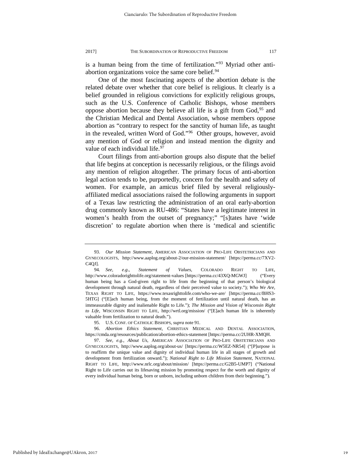is a human being from the time of fertilization."[93](#page-19-0) Myriad other antiabortion organizations voice the same core belief.<sup>94</sup>

One of the most fascinating aspects of the abortion debate is the related debate over whether that core belief is religious. It clearly is a belief grounded in religious convictions for explicitly religious groups, such as the U.S. Conference of Catholic Bishops, whose members oppose abortion because they believe all life is a gift from God,<sup>[95](#page-19-2)</sup> and the Christian Medical and Dental Association, whose members oppose abortion as "contrary to respect for the sanctity of human life, as taught in the revealed, written Word of God."[96](#page-19-3) Other groups, however, avoid any mention of God or religion and instead mention the dignity and value of each individual life.<sup>[97](#page-19-4)</sup>

Court filings from anti-abortion groups also dispute that the belief that life begins at conception is necessarily religious, or the filings avoid any mention of religion altogether. The primary focus of anti-abortion legal action tends to be, purportedly, concern for the health and safety of women. For example, an amicus brief filed by several religiouslyaffiliated medical associations raised the following arguments in support of a Texas law restricting the administration of an oral early-abortion drug commonly known as RU-486: "States have a legitimate interest in women's health from the outset of pregnancy;" "[s]tates have 'wide discretion' to regulate abortion when there is 'medical and scientific

<span id="page-19-0"></span><sup>93.</sup> *Our Mission Statement*, AMERICAN ASSOCIATION OF PRO-LIFE OBSTETRICIANS AND GYNECOLOGISTS, http://www.aaplog.org/about-2/our-mission-statement/ [https://perma.cc/7XV2- C4QJ].

<span id="page-19-1"></span><sup>94</sup>*. See, e.g*., *Statement of Values*, COLORADO RIGHT TO LIFE, http://www.coloradorighttolife.org/statement-values [https://perma.cc/43XQ-MGWJ] ("Every human being has a God-given right to life from the beginning of that person's biological development through natural death, regardless of their perceived value to society."); *Who We Are*, TEXAS RIGHT TO LIFE, https://www.texasrighttolife.com/who-we-are/ [https://perma.cc/BHS3- 5HTG] ("[E]ach human being, from the moment of fertilization until natural death, has an immeasurable dignity and inalienable Right to Life."); *The Mission and Vision of Wisconsin Right to Life*, WISCONSIN RIGHT TO LIFE, http://wrtl.org/mission/ ("[E]ach human life is inherently valuable from fertilization to natural death.").

<sup>95.</sup> U.S. CONF. OF CATHOLIC BISHOPS, *supra* note 91.

<span id="page-19-3"></span><span id="page-19-2"></span><sup>96.</sup> *Abortion Ethics Statement*, CHRISTIAN MEDICAL AND DENTAL ASSOCIATION, https://cmda.org/resources/publication/abortion-ethics-statement [https://perma.cc/2UHR-XMQH.

<span id="page-19-4"></span><sup>97.</sup> *See, e.g.*, *About Us*, AMERICAN ASSOCIATION OF PRO-LIFE OBSTETRICIANS AND GYNECOLOGISTS, <http://www.aaplog.org/about-us/> [https://perma.cc/W5EZ-NR54] ("[P]urpose is to reaffirm the unique value and dignity of individual human life in all stages of growth and development from fertilization onward."); *National Right to Life Mission Statement*, NATIONAL RIGHT TO LIFE, <http://www.nrlc.org/about/mission/> [https://perma.cc/G2B5-UMP7] ("National Right to Life carries out its lifesaving mission by promoting respect for the worth and dignity of every individual human being, born or unborn, including unborn children from their beginning.").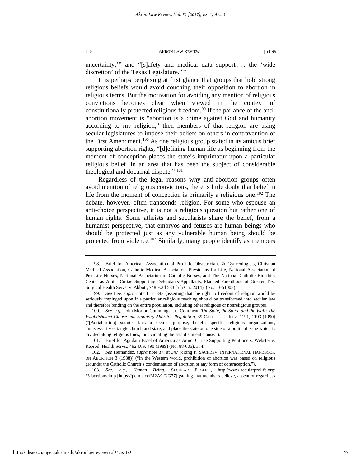uncertainty;'" and "[s]afety and medical data support . . . the 'wide discretion' of the Texas Legislature."[98](#page-20-0)

It is perhaps perplexing at first glance that groups that hold strong religious beliefs would avoid couching their opposition to abortion in religious terms. But the motivation for avoiding any mention of religious convictions becomes clear when viewed in the context of constitutionally-protected religious freedom.<sup>[99](#page-20-1)</sup> If the parlance of the antiabortion movement is "abortion is a crime against God and humanity according to my religion," then members of that religion are using secular legislatures to impose their beliefs on others in contravention of the First Amendment.<sup>[100](#page-20-2)</sup> As one religious group stated in its amicus brief supporting abortion rights, "[d]efining human life as beginning from the moment of conception places the state's imprimatur upon a particular religious belief, in an area that has been the subject of considerable theological and doctrinal dispute." <sup>[101](#page-20-3)</sup>

Regardless of the legal reasons why anti-abortion groups often avoid mention of religious convictions, there is little doubt that belief in life from the moment of conception is primarily a religious one.<sup>[102](#page-20-4)</sup> The debate, however, often transcends religion. For some who espouse an anti-choice perspective, it is not a religious question but rather one of human rights. Some atheists and secularists share the belief, from a humanist perspective, that embryos and fetuses are human beings who should be protected just as any vulnerable human being should be protected from violence.<sup>[103](#page-20-5)</sup> Similarly, many people identify as members

<span id="page-20-5"></span>103. *See*, *e.g.*, *Human Being*, SECULAR PROLIFE, http://www.secularprolife.org/ #!abortion/cimp [https://perma.cc/M2A9-DG77] (stating that members believe, absent or regardless

<span id="page-20-0"></span><sup>98.</sup> Brief for American Association of Pro-Life Obstetricians & Gynecologists, Christian Medical Association, Catholic Medical Association, Physicians for Life, National Association of Pro Life Nurses, National Association of Catholic Nurses, and The National Catholic Bioethics Center as Amici Curiae Supporting Defendants-Appellants, Planned Parenthood of Greater Tex. Surgical Health Servs. v. Abbott, 748 F.3d 583 (5th Cir. 2014), (No. 13-51008).

<span id="page-20-1"></span><sup>99.</sup> *See* Lee, *supra* note [1,](#page-2-1) at 343 (asserting that the right to freedom of religion would be seriously impinged upon if a particular religious teaching should be transformed into secular law and therefore binding on the entire population, including other religious or nonreligious groups).

<span id="page-20-2"></span><sup>100.</sup> *See*, *e.g.*, John Morton Cummings, Jr., Comment, *The State, the Stork, and the Wall: The Establishment Clause and Statutory Abortion Regulation*, 39 CATH. U. L. REV. 1191, 1193 (1990) ("[Antiabortion] statutes lack a secular purpose, benefit specific religious organizations, unnecessarily entangle church and state, and place the state on one side of a political issue which is divided along religious lines, thus violating the establishment clause.").

<span id="page-20-3"></span><sup>101.</sup> Brief for Agudath Israel of America as Amici Curiae Supporting Petitioners, Webster v. Reprod. Health Servs., 492 U.S. 490 (1989) (No. 88-605), at 4.

<span id="page-20-4"></span><sup>102.</sup> *See* Hernandez, *supra* note [37,](#page-9-4) at 347 (citing P. SACHDEV, INTERNATIONAL HANDBOOK ON ABORTION 3 (1988)) ("In the Western world, prohibition of abortion was based on religious grounds: the Catholic Church's condemnation of abortion or any form of contraception.").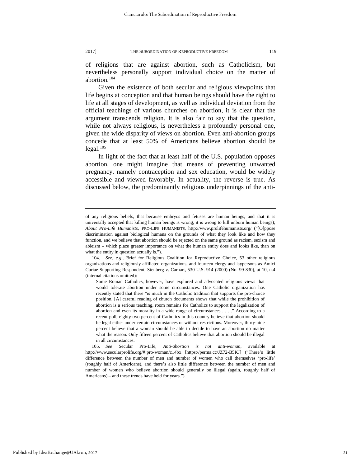of religions that are against abortion, such as Catholicism, but nevertheless personally support individual choice on the matter of abortion<sup>[104](#page-21-0)</sup>

Given the existence of both secular and religious viewpoints that life begins at conception and that human beings should have the right to life at all stages of development, as well as individual deviation from the official teachings of various churches on abortion, it is clear that the argument transcends religion. It is also fair to say that the question, while not always religious, is nevertheless a profoundly personal one, given the wide disparity of views on abortion. Even anti-abortion groups concede that at least 50% of Americans believe abortion should be  $legal.<sup>105</sup>$  $legal.<sup>105</sup>$  $legal.<sup>105</sup>$ 

In light of the fact that at least half of the U.S. population opposes abortion, one might imagine that means of preventing unwanted pregnancy, namely contraception and sex education, would be widely accessible and viewed favorably. In actuality, the reverse is true. As discussed below, the predominantly religious underpinnings of the anti-

of any religious beliefs, that because embryos and fetuses are human beings, and that it is universally accepted that killing human beings is wrong, it is wrong to kill unborn human beings); *About Pro-Life Humanists*, PRO-LIFE HUMANISTS, http://www.prolifehumanists.org/ ("[O]ppose discrimination against biological humans on the grounds of what they look like and how they function, and we believe that abortion should be rejected on the same ground as racism, sexism and ableism – which place greater importance on what the human entity does and looks like, than on what the entity in question actually is.").

<span id="page-21-0"></span><sup>104.</sup> *See*, *e.g.*, Brief for Religious Coalition for Reproductive Choice, 53 other religious organizations and religiously affiliated organizations, and fourteen clergy and laypersons as Amici Curiae Supporting Respondent, Stenberg v. Carhart, 530 U.S. 914 (2000) (No. 99-830), at 10, n.4 (internal citations omitted):

Some Roman Catholics, however, have explored and advocated religious views that would tolerate abortion under some circumstances. One Catholic organization has recently stated that there "is much in the Catholic tradition that supports the pro-choice position. [A] careful reading of church documents shows that while the prohibition of abortion is a serious teaching, room remains for Catholics to support the legalization of abortion and even its morality in a wide range of circumstances . . . ." According to a recent poll, eighty-two percent of Catholics in this country believe that abortion should be legal either under certain circumstances or without restrictions. Moreover, thirty-nine percent believe that a woman should be able to decide to have an abortion no matter what the reason. Only fifteen percent of Catholics believe that abortion should be illegal in all circumstances.

<span id="page-21-1"></span><sup>105.</sup> *See* Secular Pro-Life, *Anti-abortion is not anti-woman*, available at http://www.secularprolife.org/#!pro-woman/c14bx [https://perma.cc/JZ72-B5KJ] ("There's little difference between the number of men and number of women who call themselves 'pro-life' (roughly half of Americans), and there's also little difference between the number of men and number of women who believe abortion should generally be illegal (again, roughly half of Americans) – and these trends have held for years.").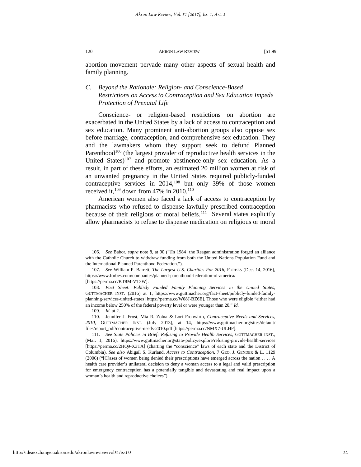abortion movement pervade many other aspects of sexual health and family planning.

# *C. Beyond the Rationale: Religion- and Conscience-Based Restrictions on Access to Contraception and Sex Education Impede Protection of Prenatal Life*

Conscience- or religion-based restrictions on abortion are exacerbated in the United States by a lack of access to contraception and sex education. Many prominent anti-abortion groups also oppose sex before marriage, contraception, and comprehensive sex education. They and the lawmakers whom they support seek to defund Planned Parenthood<sup>[106](#page-22-0)</sup> (the largest provider of reproductive health services in the United States)<sup>[107](#page-22-1)</sup> and promote abstinence-only sex education. As a result, in part of these efforts, an estimated 20 million women at risk of an unwanted pregnancy in the United States required publicly-funded contraceptive services in 2014,<sup>[108](#page-22-2)</sup> but only 39% of those women received it,  $109$  down from 47% in 2010.<sup>110</sup>

American women also faced a lack of access to contraception by pharmacists who refused to dispense lawfully prescribed contraception because of their religious or moral beliefs.<sup>[111](#page-22-5)</sup> Several states explicitly allow pharmacists to refuse to dispense medication on religious or moral

<span id="page-22-0"></span><sup>106.</sup> *See* Babor, *supra* note [8,](#page-5-0) at 90 ("[In 1984] the Reagan administration forged an alliance with the Catholic Church to withdraw funding from both the United Nations Population Fund and the International Planned Parenthood Federation.").

<span id="page-22-1"></span><sup>107.</sup> *See* William P. Barrett, *The Largest U.S. Charities For 2016*, FORBES (Dec. 14, 2016), https://www.forbes.com/companies/planned-parenthood-federation-of-america/ [https://perma.cc/KT8M-VT3W].

<span id="page-22-2"></span><sup>108.</sup> *Fact Sheet: Publicly Funded Family Planning Services in the United States,*  GUTTMACHER INST. (2016) at 1, https://www.guttmacher.org/fact-sheet/publicly-funded-familyplanning-services-united-states [https://perma.cc/W68J-BZ6E]. Those who were eligible "either had an income below 250% of the federal poverty level or were younger than 20." *Id.*

<sup>109.</sup> *Id.* at 2.

<span id="page-22-4"></span><span id="page-22-3"></span><sup>110.</sup> Jennifer J. Frost, Mia R. Zolna & Lori Frohwirth, *Contraceptive Needs and Services, 2010*, GUTTMACHER INST. (July 2013), at 14, https://www.guttmacher.org/sites/default/ files/report\_pdf/contraceptive-needs-2010.pdf [https://perma.cc/NMX7-ULHF].

<span id="page-22-5"></span><sup>111.</sup> *See State Policies in Brief: Refusing to Provide Health Services*, GUTTMACHER INST., (Mar. 1, 2016), https://www.guttmacher.org/state-policy/explore/refusing-provide-health-services [https://perma.cc/2HQ9-X3TA] (charting the "conscience" laws of each state and the District of Columbia). *See also* Abigail S. Kurland, *Access to Contraception*, 7 GEO. J. GENDER & L. 1129 (2006) ("[C]ases of women being denied their prescriptions have emerged across the nation . . . . A health care provider's unilateral decision to deny a woman access to a legal and valid prescription for emergency contraception has a potentially tangible and devastating and real impact upon a woman's health and reproductive choices").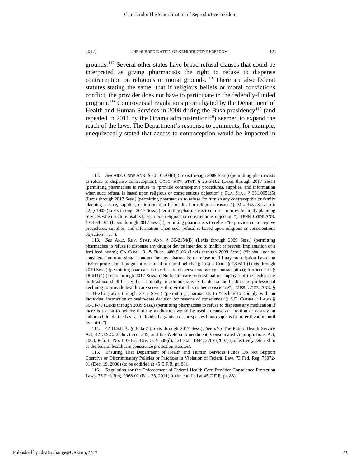grounds.[112](#page-23-0) Several other states have broad refusal clauses that could be interpreted as giving pharmacists the right to refuse to dispense contraception on religious or moral grounds.<sup>[113](#page-23-1)</sup> There are also federal statutes stating the same: that if religious beliefs or moral convictions conflict, the provider does not have to participate in the federally-funded program.<sup>114</sup> Controversial regulations promulgated by the Department of Health and Human Services in 2008 during the Bush presidency<sup>[115](#page-23-3)</sup> (and repealed in 2011 by the Obama administration<sup>[116](#page-23-4)</sup>) seemed to expand the reach of the laws. The Department's response to comments, for example, unequivocally stated that access to contraception would be impacted in

<span id="page-23-0"></span><sup>112.</sup> *See* ARK. CODE ANN. § 20-16-304(4) (Lexis through 2009 Sess.) (permitting pharmacists to refuse to dispense contraception); COLO. REV. STAT. § 25-6-102 (Lexis through 2017 Sess.) (permitting pharmacists to refuse to "provide contraceptive procedures, supplies, and information when such refusal is based upon religious or conscientious objection"); FLA. STAT. § 381.0051(5) (Lexis through 2017 Sess.) (permitting pharmacists to refuse "to furnish any contraceptive or family planning service, supplies, or information for medical or religious reasons."); ME. REV. STAT. tit. 22, § 1903 (Lexis through 2017 Sess.) (permitting pharmacists to refuse "to provide family planning services when such refusal is based upon religious or conscientious objection."); TENN. CODE ANN. § 68-34-104 (Lexis through 2017 Sess.) (permitting pharmacists to refuse "to provide contraceptive procedures, supplies, and information when such refusal is based upon religious or conscientious  $objection \ldots$ ").

<span id="page-23-1"></span><sup>113.</sup> *See* ARIZ. REV. STAT. ANN. § 36-2154(B) (Lexis through 2009 Sess.) (permitting pharmacists to refuse to dispense any drug or device intended to inhibit or prevent implantation of a fertilized ovum); GA COMP. R. & REGS. 480-5-.03 (Lexis through 2009 Sess.) ("It shall not be considered unprofessional conduct for any pharmacist to refuse to fill any prescription based on his/her professional judgment or ethical or moral beliefs."); IDAHO CODE § 18-611 (Lexis through 2010 Sess.) (permitting pharmacists to refuse to dispense emergency contraception); IDAHO CODE § 18-611(4) (Lexis through 2017 Sess.) ("No health care professional or employer of the health care professional shall be civilly, criminally or administratively liable for the health care professional declining to provide health care services that violate his or her conscience"); MISS. CODE. ANN. § 41-41-215 (Lexis through 2017 Sess.) (permitting pharmacists to "decline to comply with an individual instruction or health-care decision for reasons of conscience."); S.D. CODIFIED LAWS § 36-11-70 (Lexis through 2009 Sess.) (permitting pharmacists to refuse to dispense any medication if there is reason to believe that the medication would be used to cause an abortion or destroy an unborn child, defined as "an individual organism of the species homo sapiens from fertilization until live birth").

<span id="page-23-2"></span><sup>114. 42</sup> U.S.C.A. § 300a-7 (Lexis through 2017 Sess.); *See also* The Public Health Service Act, 42 U.S.C. 238n at sec. 245, and the Weldon Amendment, Consolidated Appropriations Act, 2008, Pub. L. No. 110-161, Div. G, § 508(d), 121 Stat. 1844, 2209 (2007) (collectively referred to as the federal healthcare conscience protection statutes).

<span id="page-23-3"></span><sup>115.</sup> Ensuring That Department of Health and Human Services Funds Do Not Support Coercive or Discriminatory Policies or Practices in Violation of Federal Law, 73 Fed. Reg. 78072- 01 (Dec. 19, 2008) (to be codified at 45 C.F.R. pt. 88).

<span id="page-23-4"></span><sup>116.</sup> Regulation for the Enforcement of Federal Health Care Provider Conscience Protection Laws, 76 Fed. Reg. 9968-02 (Feb. 23, 2011) (to be codified at 45 C.F.R. pt. 88).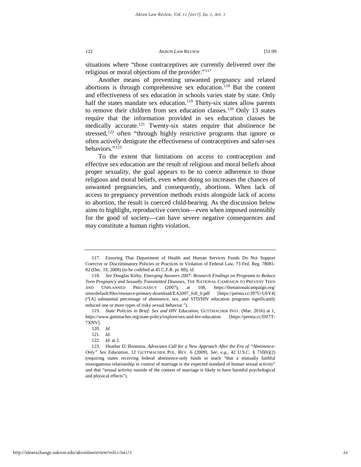situations where "those contraceptives are currently delivered over the religious or moral objections of the provider."<sup>[117](#page-24-0)</sup>

Another means of preventing unwanted pregnancy and related abortions is through comprehensive sex education.<sup>[118](#page-24-1)</sup> But the content and effectiveness of sex education in schools varies state by state. Only half the states mandate sex education.<sup>[119](#page-24-2)</sup> Thirty-six states allow parents to remove their children from sex education classes.<sup>[120](#page-24-3)</sup> Only  $13$  states require that the information provided in sex education classes be medically accurate.<sup>[121](#page-24-4)</sup> Twenty-six states require that abstinence be stressed,<sup>[122](#page-24-5)</sup> often "through highly restrictive programs that ignore or often actively denigrate the effectiveness of contraceptives and safer-sex behaviors."<sup>[123](#page-24-6)</sup>

To the extent that limitations on access to contraception and effective sex education are the result of religious and moral beliefs about proper sexuality, the goal appears to be to coerce adherence to those religious and moral beliefs, even when doing so increases the chances of unwanted pregnancies, and consequently, abortions. When lack of access to pregnancy prevention methods exists alongside lack of access to abortion, the result is coerced child-bearing. As the discussion below aims to highlight, reproductive coercion—even when imposed ostensibly for the good of society—can have severe negative consequences and may constitute a human rights violation.

<span id="page-24-0"></span><sup>117.</sup> Ensuring That Department of Health and Human Services Funds Do Not Support Coercive or Discriminatory Policies or Practices in Violation of Federal Law, 73 Fed. Reg. 78081- 82 (Dec. 19, 2008) (to be codified at 45 C.F.R. pt. 88); *id*.

<span id="page-24-1"></span><sup>118.</sup> *See* Douglas Kirby, *Emerging Answers 2007: Research Findings on Programs to Reduce Teen Pregnancy and Sexually Transmitted Diseases*, THE NATIONAL CAMPAIGN TO PREVENT TEEN AND UNPLANNED PREGNANCY (2007), at 108, https://thenationalcampaign.org/ sites/default/files/resource-primary-download/EA2007\_full\_0.pdf [https://perma.cc/J97U-U6Y4] ("[A] substantial percentage of abstinence, sex, and STD/HIV education programs significantly reduced one or more types of risky sexual behavior.").

<span id="page-24-3"></span><span id="page-24-2"></span><sup>119.</sup> *State Policies in Brief: Sex and HIV Education*, GUTTMACHER INST. (Mar. 2016) at 1, https://www.guttmacher.org/state-policy/explore/sex-and-hiv-education [https://perma.cc/DZ7T-7XNV].

<sup>120.</sup> *Id.*

<sup>121.</sup> *Id.*

<sup>122.</sup> *Id.* at 2.

<span id="page-24-6"></span><span id="page-24-5"></span><span id="page-24-4"></span><sup>123.</sup> Heather D. Boonstra, *Advocates Call for a New Approach After the Era of "Abstinence-Only" Sex Education*, 12 GUTTMACHER POL. REV. 6 (2009). *See*, *e.g.*, 42 U.S.C. § 710(b)(2) (requiring states receiving federal abstinence-only funds to teach "that a mutually faithful monogamous relationship in context of marriage is the expected standard of human sexual activity" and that "sexual activity outside of the context of marriage is likely to have harmful psychological and physical effects").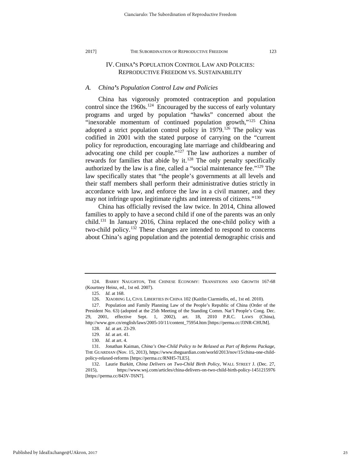# IV. CHINA**'**S POPULATION CONTROL LAW AND POLICIES: REPRODUCTIVE FREEDOM VS. SUSTAINABILITY

# <span id="page-25-0"></span>*A. China's Population Control Law and Policies*

China has vigorously promoted contraception and population control since the  $1960s$ .<sup>124</sup> Encouraged by the success of early voluntary programs and urged by population "hawks" concerned about the "inexorable momentum of continued population growth,"<sup>[125](#page-25-2)</sup> China adopted a strict population control policy in 1979.<sup>[126](#page-25-3)</sup> The policy was codified in 2001 with the stated purpose of carrying on the "current policy for reproduction, encouraging late marriage and childbearing and advocating one child per couple."<sup>[127](#page-25-4)</sup> The law authorizes a number of rewards for families that abide by it.<sup>[128](#page-25-5)</sup> The only penalty specifically authorized by the law is a fine, called a "social maintenance fee.["129](#page-25-6) The law specifically states that "the people's governments at all levels and their staff members shall perform their administrative duties strictly in accordance with law, and enforce the law in a civil manner, and they may not infringe upon legitimate rights and interests of citizens."[130](#page-25-7)

China has officially revised the law twice. In 2014, China allowed families to apply to have a second child if one of the parents was an only child.[131](#page-25-8) In January 2016, China replaced the one-child policy with a two-child policy.[132](#page-25-9) These changes are intended to respond to concerns about China's aging population and the potential demographic crisis and

<span id="page-25-1"></span><sup>124.</sup> BARRY NAUGHTON, THE CHINESE ECONOMY: TRANSITIONS AND GROWTH 167-68 (Kourtney Heinz, ed., 1st ed. 2007).

<sup>125.</sup> *Id.* at 168.

<sup>126.</sup> XIAOBING LI, CIVIL LIBERTIES IN CHINA 102 (Kaitlin Ciarmiello, ed., 1st ed. 2010).

<span id="page-25-4"></span><span id="page-25-3"></span><span id="page-25-2"></span><sup>127.</sup> Population and Family Planning Law of the People's Republic of China (Order of the President No. 63) (adopted at the 25th Meeting of the Standing Comm. Nat'l People's Cong. Dec. 29, 2001, effective Sept. 1, 2002), art. 18, 2010 P.R.C. LAWS (China), http://www.gov.cn/english/laws/2005-10/11/content\_75954.htm [https://perma.cc/J3NR-CHUM].

<sup>128.</sup> *Id.* at art. 23-29.

<sup>129.</sup> *Id.* at art. 41.

<sup>130.</sup> *Id.* at art. 4.

<span id="page-25-8"></span><span id="page-25-7"></span><span id="page-25-6"></span><span id="page-25-5"></span><sup>131.</sup> Jonathan Kaiman, *China's One-Child Policy to be Relaxed as Part of Reforms Package*, THE GUARDIAN (Nov. 15, 2013), https://www.theguardian.com/world/2013/nov/15/china-one-childpolicy-relaxed-reforms [https://perma.cc/RNH5-7LE5].

<span id="page-25-9"></span><sup>132.</sup> Laurie Burkitt, *China Delivers on Two-Child Birth Policy*, WALL STREET J. (Dec. 27, 2015), https://www.wsj.com/articles/china-delivers-on-two-child-birth-policy-1451215976 [https://perma.cc/843V-T6N7].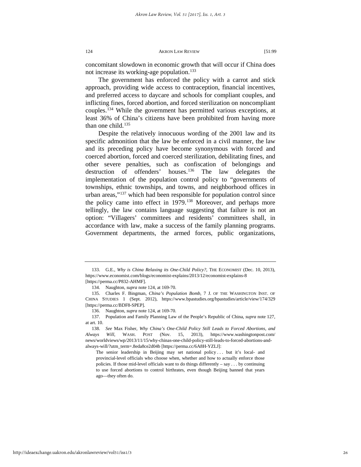concomitant slowdown in economic growth that will occur if China does not increase its working-age population.<sup>[133](#page-26-0)</sup>

The government has enforced the policy with a carrot and stick approach, providing wide access to contraception, financial incentives, and preferred access to daycare and schools for compliant couples, and inflicting fines, forced abortion, and forced sterilization on noncompliant couples.[134](#page-26-1) While the government has permitted various exceptions, at least 36% of China's citizens have been prohibited from having more than one child. $135$ 

Despite the relatively innocuous wording of the 2001 law and its specific admonition that the law be enforced in a civil manner, the law and its preceding policy have become synonymous with forced and coerced abortion, forced and coerced sterilization, debilitating fines, and other severe penalties, such as confiscation of belongings and destruction of offenders' houses.<sup>[136](#page-26-3)</sup> The law delegates the implementation of the population control policy to "governments of townships, ethnic townships, and towns, and neighborhood offices in urban areas,"[137](#page-26-4) which had been responsible for population control since the policy came into effect in 1979.<sup>[138](#page-26-5)</sup> Moreover, and perhaps more tellingly, the law contains language suggesting that failure is not an option: "Villagers' committees and residents' committees shall, in accordance with law, make a success of the family planning programs. Government departments, the armed forces, public organizations,

<span id="page-26-0"></span><sup>133.</sup> G.E., *Why is China Relaxing its One-Child Policy?*, THE ECONOMIST (Dec. 10, 2013), https://www.economist.com/blogs/economist-explains/2013/12/economist-explains-8 [https://perma.cc/P832-AHMF].

<sup>134.</sup> Naughton, *supra* note 124, at 169-70.

<span id="page-26-2"></span><span id="page-26-1"></span><sup>135.</sup> Charles F. Bingman, *China's Population Bomb*, 7 J. OF THE WASHINGTON INST. OF CHINA STUDIES 1 (Sept. 2012), https://www.bpastudies.org/bpastudies/article/view/174/329 [https://perma.cc/BDF8-SPEP].

<sup>136.</sup> Naughton, *supra* note 124, at 169-70.

<span id="page-26-4"></span><span id="page-26-3"></span><sup>137.</sup> Population and Family Planning Law of the People's Republic of China, *supra* note 127, at art. 10.

<span id="page-26-5"></span><sup>138.</sup> *See* Max Fisher, *Why China's One-Child Policy Still Leads to Forced Abortions, and Always Will*, WASH. POST (Nov. 15, 2013), https://www.washingtonpost.com/ news/worldviews/wp/2013/11/15/why-chinas-one-child-policy-still-leads-to-forced-abortions-andalways-will/?utm\_term=.8eda8ce2d04b [https://perma.cc/6A8H-YZLJ]:

The senior leadership in Beijing may set national policy ... but it's local- and provincial-level officials who choose when, whether and how to actually enforce those policies. If those mid-level officials want to do things differently – say . . . by continuing to use forced abortions to control birthrates, even though Beijing banned that years ago—they often do.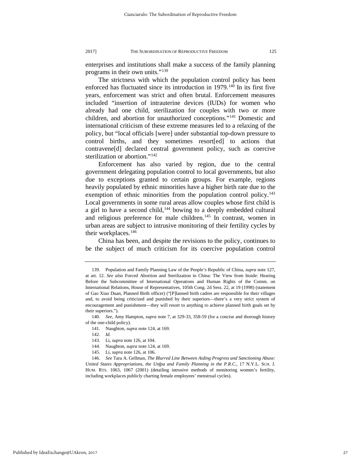enterprises and institutions shall make a success of the family planning programs in their own units."<sup>[139](#page-27-0)</sup>

The strictness with which the population control policy has been enforced has fluctuated since its introduction in 1979.<sup>[140](#page-27-1)</sup> In its first five years, enforcement was strict and often brutal. Enforcement measures included "insertion of intrauterine devices (IUDs) for women who already had one child, sterilization for couples with two or more children, and abortion for unauthorized conceptions."[141](#page-27-2) Domestic and international criticism of these extreme measures led to a relaxing of the policy, but "local officials [were] under substantial top-down pressure to control births, and they sometimes resort[ed] to actions that contravene[d] declared central government policy, such as coercive sterilization or abortion."<sup>[142](#page-27-3)</sup>

Enforcement has also varied by region, due to the central government delegating population control to local governments, but also due to exceptions granted to certain groups. For example, regions heavily populated by ethnic minorities have a higher birth rate due to the exemption of ethnic minorities from the population control policy.<sup>143</sup> Local governments in some rural areas allow couples whose first child is a girl to have a second child,  $144$  bowing to a deeply embedded cultural and religious preference for male children.<sup>[145](#page-27-6)</sup> In contrast, women in urban areas are subject to intrusive monitoring of their fertility cycles by their workplaces.<sup>[146](#page-27-7)</sup>

China has been, and despite the revisions to the policy, continues to be the subject of much criticism for its coercive population control

<span id="page-27-3"></span><span id="page-27-2"></span><span id="page-27-1"></span>140. *See,* Amy Hampton, *supra* note [7,](#page-4-2) at 329-33, 358-59 (for a concise and thorough history of the one-child policy).

- 143. Li, *supra* note 126, at 104.
- 144. Naughton, *supra* note 124, at 169.
- 145. Li, *supra* note 126, at 106.

<span id="page-27-0"></span><sup>139.</sup> Population and Family Planning Law of the People's Republic of China, *supra* note 127, at art. 12. *See also* Forced Abortion and Sterilization in China: The View from Inside: Hearing Before the Subcommittee of International Operations and Human Rights of the Comm. on International Relations, House of Representatives, 105th Cong. 2d Sess. 22, at 19 (1998) (statement of Gao Xiao Duan, Planned Birth officer) ("[P]lanned birth cadres are responsible for their villages and, to avoid being criticized and punished by their superiors—there's a very strict system of encouragement and punishment—they will resort to anything to achieve planned birth goals set by their superiors.").

<sup>141.</sup> Naughton, *supra* note 124, at 169.

<sup>142.</sup> *Id.*

<span id="page-27-7"></span><span id="page-27-6"></span><span id="page-27-5"></span><span id="page-27-4"></span><sup>146.</sup> *See* Tara A. Gellman, *The Blurred Line Between Aiding Progress and Sanctioning Abuse: United States Appropriations, the Unfpa and Family Planning in the P.R.C*., 17 N.Y.L. SCH. J. HUM. RTS. 1063, 1067 (2001) (detailing intrusive methods of monitoring women's fertility, including workplaces publicly charting female employees' menstrual cycles).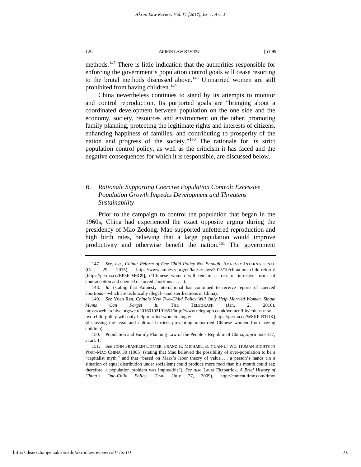methods.[147](#page-28-0) There is little indication that the authorities responsible for enforcing the government's population control goals will cease resorting to the brutal methods discussed above.<sup>[148](#page-28-1)</sup> Unmarried women are still prohibited from having children.<sup>[149](#page-28-2)</sup>

China nevertheless continues to stand by its attempts to monitor and control reproduction. Its purported goals are "bringing about a coordinated development between population on the one side and the economy, society, resources and environment on the other, promoting family planning, protecting the legitimate rights and interests of citizens, enhancing happiness of families, and contributing to prosperity of the nation and progress of the society."[150](#page-28-3) The rationale for its strict population control policy, as well as the criticism it has faced and the negative consequences for which it is responsible, are discussed below.

# *B. Rationale Supporting Coercive Population Control: Excessive Population Growth Impedes Development and Threatens Sustainability*

Prior to the campaign to control the population that began in the 1960s, China had experienced the exact opposite urging during the presidency of Mao Zedong. Mao supported unfettered reproduction and high birth rates, believing that a large population would improve productivity and otherwise benefit the nation.<sup>[151](#page-28-4)</sup> The government

<span id="page-28-5"></span><span id="page-28-0"></span><sup>147.</sup> *See*, *e.g.*, *China: Reform of One-Child Policy Not Enough*, AMNESTY INTERNATIONAL (Oct. 29, 2015), https://www.amnesty.org/en/latest/news/2015/10/china-one-child-reform/ [https://perma.cc/BP3E-M6G9], ("Chinese women will remain at risk of intrusive forms of contraception and coerced or forced abortions . . . .").

<span id="page-28-1"></span><sup>148.</sup> *Id.* (stating that Amnesty International has continued to receive reports of coerced abortions—which are technically illegal—and sterilizations in China).

<span id="page-28-2"></span><sup>149.</sup> *See* Yuan Ren, *China's New Two-Child Policy Will Only Help Married Women. Single Mums Can Forget It*, THE TELEGRAPH (Jan. 2, 2016), https://web.archive.org/web/20160102101651/http://www.telegraph.co.uk/women/life/chinas-newtwo-child-policy-will-only-help-married-women-single/ [https://perma.cc/W8KP-BTRK] (discussing the legal and cultural barriers preventing unmarried Chinese women from having children).

<span id="page-28-3"></span><sup>150.</sup> Population and Family Planning Law of the People's Republic of China, *supra* note 127, at art. 1.

<span id="page-28-4"></span><sup>151.</sup> *See* JOHN FRANKLIN COPPER, FRANZ H. MICHAEL, & YUAN-LI WU, HUMAN RIGHTS IN POST-MAO CHINA 30 (1985) (stating that Mao believed the possibility of over-population to be a "capitalist myth," and that "based on Marx's labor theory of value . . . a person's hands (in a situation of equal distribution under socialism) could produce more food than his mouth could eat; therefore, a population problem was impossible"). *See also* Laura Fitzpatrick, *A Brief History of China's One-Child Policy,* TIME (July 27, 2009), http://content.time.com/time/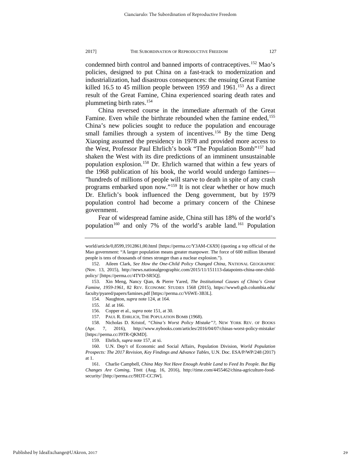condemned birth control and banned imports of contraceptives.[152](#page-29-1) Mao's policies, designed to put China on a fast-track to modernization and industrialization, had disastrous consequences: the ensuing Great Famine killed 16.5 to 45 million people between 1959 and 1961.<sup>[153](#page-29-2)</sup> As a direct result of the Great Famine, China experienced soaring death rates and plummeting birth rates.<sup>154</sup>

<span id="page-29-11"></span><span id="page-29-0"></span>China reversed course in the immediate aftermath of the Great Famine. Even while the birthrate rebounded when the famine ended,<sup>155</sup> China's new policies sought to reduce the population and encourage small families through a system of incentives.<sup>156</sup> By the time Deng Xiaoping assumed the presidency in 1978 and provided more access to the West, Professor Paul Ehrlich's book "The Population Bomb"[157](#page-29-6) had shaken the West with its dire predictions of an imminent unsustainable population explosion.[158](#page-29-7) Dr. Ehrlich warned that within a few years of the 1968 publication of his book, the world would undergo famines— "hundreds of millions of people will starve to death in spite of any crash programs embarked upon now."[159](#page-29-8) It is not clear whether or how much Dr. Ehrlich's book influenced the Deng government, but by 1979 population control had become a primary concern of the Chinese government.

Fear of widespread famine aside, China still has 18% of the world's population<sup>160</sup> and only 7% of the world's arable land.<sup>161</sup> Population

world/article/0,8599,1912861,00.html [https://perma.cc/Y3AM-C6X9] (quoting a top official of the Mao government: "A larger population means greater manpower. The force of 600 million liberated people is tens of thousands of times stronger than a nuclear explosion.").

<span id="page-29-1"></span><sup>152.</sup> Aileen Clark, *See How the One-Child Policy Changed China*, NATIONAL GEOGRAPHIC (Nov. 13, 2015), http://news.nationalgeographic.com/2015/11/151113-datapoints-china-one-childpolicy/ [https://perma.cc/4TVD-SR5Q].

<span id="page-29-3"></span><span id="page-29-2"></span><sup>153.</sup> Xin Meng, Nancy Qian, & Pierre Yared, *The Institutional Causes of China's Great Famine, 1959-1961*, 82 REV. ECONOMIC STUDIES 1568 (2015), https://www0.gsb.columbia.edu/ faculty/pyared/papers/famines.pdf [https://perma.cc/V6WE-3B3L].

<sup>154.</sup> Naughton, *supra* note 124, at 164.

<sup>155.</sup> *Id.* at 166.

<sup>156.</sup> Copper et al., *supra* not[e 151,](#page-28-5) at 30.

<sup>157.</sup> PAUL R. EHRLICH, THE POPULATION BOMB (1968).

<span id="page-29-7"></span><span id="page-29-6"></span><span id="page-29-5"></span><span id="page-29-4"></span><sup>158.</sup> Nicholas D. Kristof, *"China's Worst Policy Mistake"?*, NEW YORK REV. OF BOOKS (Apr. 7, 2016), http://www.nybooks.com/articles/2016/04/07/chinas-worst-policy-mistake/ [https://perma.cc/J9TR-QKMD].

<sup>159.</sup> Ehrlich, *supra* not[e 157,](#page-29-0) at xi.

<span id="page-29-9"></span><span id="page-29-8"></span><sup>160.</sup> U.N. Dep't of Economic and Social Affairs, Population Division, *World Population Prospects: The 2017 Revision, Key Findings and Advance Tables,* U.N. Doc. ESA/P/WP/248 (2017) at 1.

<span id="page-29-10"></span><sup>161.</sup> Charlie Campbell, *China May Not Have Enough Arable Land to Feed Its People. But Big Changes Are Coming*, TIME (Aug. 16, 2016), http://time.com/4455462/china-agriculture-foodsecurity/ [http://perma.cc/9H3T-CC3W].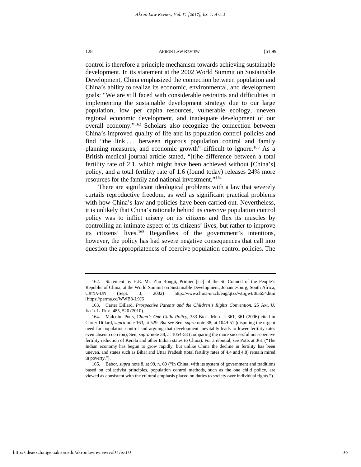control is therefore a principle mechanism towards achieving sustainable development. In its statement at the 2002 World Summit on Sustainable Development, China emphasized the connection between population and China's ability to realize its economic, environmental, and development goals: "We are still faced with considerable restraints and difficulties in implementing the sustainable development strategy due to our large population, low per capita resources, vulnerable ecology, uneven regional economic development, and inadequate development of our overall economy."[162](#page-30-0) Scholars also recognize the connection between China's improved quality of life and its population control policies and find "the link . . . between rigorous population control and family planning measures, and economic growth" difficult to ignore.<sup>[163](#page-30-1)</sup> As a British medical journal article stated, "[t]he difference between a total fertility rate of 2.1, which might have been achieved without [China's] policy, and a total fertility rate of 1.6 (found today) releases 24% more resources for the family and national investment."[164](#page-30-2)

There are significant ideological problems with a law that severely curtails reproductive freedom, as well as significant practical problems with how China's law and policies have been carried out. Nevertheless, it is unlikely that China's rationale behind its coercive population control policy was to inflict misery on its citizens and flex its muscles by controlling an intimate aspect of its citizens' lives, but rather to improve its citizens' lives[.165](#page-30-3) Regardless of the government's intentions, however, the policy has had severe negative consequences that call into question the appropriateness of coercive population control policies. The

<span id="page-30-0"></span><sup>162.</sup> Statement by H.E. Mr. Zhu Rongji, Primier [sic] of the St. Council of the People's Republic of China, at the World Summit on Sustainable Development, Johannesburg, South Africa, CHINA-UN (Sept. 3, 2002) http://www.china-un.ch/eng/qtzz/wtojjwt/t85654.htm [https://perma.cc/WWB3-L9J6].

<span id="page-30-1"></span><sup>163.</sup> Carter Dillard, *Prospective Parents and the Children's Rights Convention*, 25 AM. U. INT'L L. REV. 485, 520 (2010).

<span id="page-30-2"></span><sup>164.</sup> Malcolm Potts, *China's One Child Policy*, 333 BRIT. MED. J. 361, 361 (2006) cited in Carter Dillard, *supra* note 163, at 529. *But see* Sen, *supra* not[e 38,](#page-10-2) at 1049-51 (disputing the urgent need for population control and arguing that development inevitably leads to lower fertility rates even absent coercion); Sen, *supra* note 38, at 1054-58 (comparing the more successful non-coercive fertility reduction of Kerala and other Indian states to China). For a rebuttal, *see* Potts at 361 ("The Indian economy has begun to grow rapidly, but unlike China the decline in fertility has been uneven, and states such as Bihar and Uttar Pradesh (total fertility rates of 4.4 and 4.8) remain mired in poverty.").

<span id="page-30-3"></span><sup>165.</sup> Babor, *supra* note [8,](#page-5-0) at 99, n. 60 ("In China, with its system of government and traditions based on collectivist principles, population control methods, such as the one child policy, are viewed as consistent with the cultural emphasis placed on duties to society over individual rights.").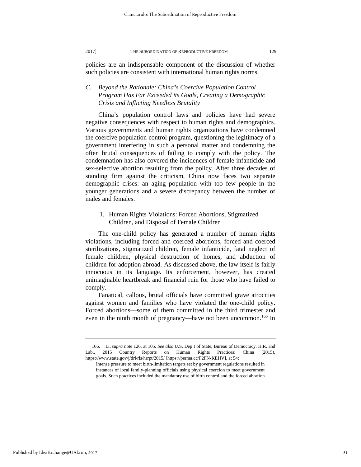policies are an indispensable component of the discussion of whether such policies are consistent with international human rights norms.

# *C. Beyond the Rationale: China's Coercive Population Control Program Has Far Exceeded its Goals, Creating a Demographic Crisis and Inflicting Needless Brutality*

China's population control laws and policies have had severe negative consequences with respect to human rights and demographics. Various governments and human rights organizations have condemned the coercive population control program, questioning the legitimacy of a government interfering in such a personal matter and condemning the often brutal consequences of failing to comply with the policy. The condemnation has also covered the incidences of female infanticide and sex-selective abortion resulting from the policy. After three decades of standing firm against the criticism, China now faces two separate demographic crises: an aging population with too few people in the younger generations and a severe discrepancy between the number of males and females.

# 1. Human Rights Violations: Forced Abortions, Stigmatized Children, and Disposal of Female Children

The one-child policy has generated a number of human rights violations, including forced and coerced abortions, forced and coerced sterilizations, stigmatized children, female infanticide, fatal neglect of female children, physical destruction of homes, and abduction of children for adoption abroad. As discussed above, the law itself is fairly innocuous in its language. Its enforcement, however, has created unimaginable heartbreak and financial ruin for those who have failed to comply.

Fanatical, callous, brutal officials have committed grave atrocities against women and families who have violated the one-child policy. Forced abortions—some of them committed in the third trimester and even in the ninth month of pregnancy—have not been uncommon.<sup>[166](#page-31-0)</sup> In

<span id="page-31-0"></span><sup>166.</sup> Li, *supra* note 126, at 105. *See also* U.S. Dep't of State, Bureau of Democracy, H.R. and Lab., 2015 Country Reports on Human Rights Practices: China (2015), https://www.state.gov/j/drl/rls/hrrpt/2015/ [https://perma.cc/F2FN-KEHV], at 54:

Intense pressure to meet birth-limitation targets set by government regulations resulted in instances of local family-planning officials using physical coercion to meet government goals. Such practices included the mandatory use of birth control and the forced abortion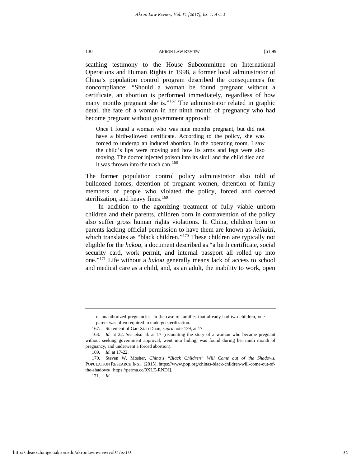scathing testimony to the House Subcommittee on International Operations and Human Rights in 1998, a former local administrator of China's population control program described the consequences for noncompliance: "Should a woman be found pregnant without a certificate, an abortion is performed immediately, regardless of how many months pregnant she is."<sup>[167](#page-32-0)</sup> The administrator related in graphic detail the fate of a woman in her ninth month of pregnancy who had become pregnant without government approval:

Once I found a woman who was nine months pregnant, but did not have a birth-allowed certificate. According to the policy, she was forced to undergo an induced abortion. In the operating room, I saw the child's lips were moving and how its arms and legs were also moving. The doctor injected poison into its skull and the child died and it was thrown into the trash can.<sup>[168](#page-32-1)</sup>

The former population control policy administrator also told of bulldozed homes, detention of pregnant women, detention of family members of people who violated the policy, forced and coerced sterilization, and heavy fines.<sup>[169](#page-32-2)</sup>

In addition to the agonizing treatment of fully viable unborn children and their parents, children born in contravention of the policy also suffer gross human rights violations. In China, children born to parents lacking official permission to have them are known as *heihaizi*, which translates as "black children."<sup>[170](#page-32-3)</sup> These children are typically not eligible for the *hukou*, a document described as "a birth certificate, social security card, work permit, and internal passport all rolled up into one."[171](#page-32-4) Life without a *hukou* generally means lack of access to school and medical care as a child, and, as an adult, the inability to work, open

171. *Id.*

of unauthorized pregnancies. In the case of families that already had two children, one parent was often required to undergo sterilization.

<sup>167.</sup> Statement of Gao Xiao Duan, *supra* note 139, at 17.

<span id="page-32-1"></span><span id="page-32-0"></span><sup>168.</sup> *Id.* at 22. *See also id.* at 17 (recounting the story of a woman who became pregnant without seeking government approval, went into hiding, was found during her ninth month of pregnancy, and underwent a forced abortion).

<sup>169.</sup> *Id.* at 17-22.

<span id="page-32-4"></span><span id="page-32-3"></span><span id="page-32-2"></span><sup>170.</sup> Steven W. Mosher, *China's "Black Children" Will Come out of the Shadows,* POPULATION RESEARCH INST. (2015), https://www.pop.org/chinas-black-children-will-come-out-ofthe-shadows/ [https://perma.cc/9XLE-RNDJ].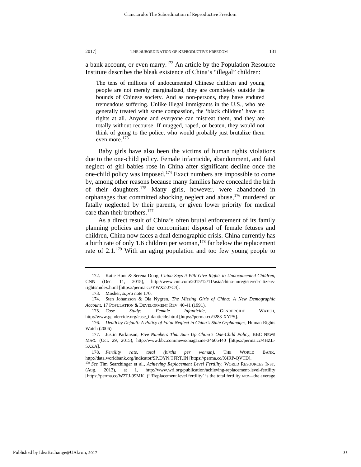a bank account, or even marry.[172](#page-33-0) An article by the Population Resource Institute describes the bleak existence of China's "illegal" children:

The tens of millions of undocumented Chinese children and young people are not merely marginalized, they are completely outside the bounds of Chinese society. And as non-persons, they have endured tremendous suffering. Unlike illegal immigrants in the U.S., who are generally treated with some compassion, the 'black children' have no rights at all. Anyone and everyone can mistreat them, and they are totally without recourse. If mugged, raped, or beaten, they would not think of going to the police, who would probably just brutalize them even more.[173](#page-33-1)

Baby girls have also been the victims of human rights violations due to the one-child policy. Female infanticide, abandonment, and fatal neglect of girl babies rose in China after significant decline once the one-child policy was imposed.[174](#page-33-2) Exact numbers are impossible to come by, among other reasons because many families have concealed the birth of their daughters.[175](#page-33-3) Many girls, however, were abandoned in orphanages that committed shocking neglect and abuse[,176](#page-33-4) murdered or fatally neglected by their parents, or given lower priority for medical care than their brothers.<sup>[177](#page-33-5)</sup>

As a direct result of China's often brutal enforcement of its family planning policies and the concomitant disposal of female fetuses and children, China now faces a dual demographic crisis. China currently has a birth rate of only 1.6 children per woman,<sup>[178](#page-33-6)</sup> far below the replacement rate of  $2.1^{179}$  With an aging population and too few young people to

<span id="page-33-0"></span><sup>172.</sup> Katie Hunt & Serena Dong, C*hina Says it Will Give Rights to Undocumented Children*, CNN (Dec. 11, 2015), http://www.cnn.com/2015/12/11/asia/china-unregistered-citizensrights/index.html [https://perma.cc/YWX2-J7C4].

<sup>173.</sup> Mosher, *supra* note 170.

<span id="page-33-2"></span><span id="page-33-1"></span><sup>174.</sup> Sten Johansson & Ola Nygren, *The Missing Girls of China: A New Demographic Accoun*t, 17 POPULATION & DEVELOPMENT REV. 40-41 (1991).

<span id="page-33-3"></span><sup>175.</sup> *Case Study: Female Infanticide*, GENDERCIDE WATCH, http://www.gendercide.org/case\_infanticide.html [https://perma.cc/9283-XYPS].

<span id="page-33-4"></span><sup>176.</sup> *Death by Default: A Policy of Fatal Neglect in China's State Orphanages,* Human Rights Watch (2006).

<span id="page-33-5"></span><sup>177.</sup> Justin Parkinson, *Five Numbers That Sum Up China's One-Child Policy*, BBC NEWS MAG. (Oct. 29, 2015), http://www.bbc.com/news/magazine-34666440 [https://perma.cc/4HZL-5XZA].

<span id="page-33-6"></span><sup>178.</sup> *Fertility rate, total (births per woman)*, THE WORLD BANK, http://data.worldbank.org/indicator/SP.DYN.TFRT.IN [https://perma.cc/X4RP-QVTD].

<span id="page-33-7"></span><sup>179</sup>*See* Tim Searchinger et al., *Achieving Replacement Level Fertility,* WORLD RESOURCES INST. (Aug. 2013), at 1, http://www.wri.org/publication/achieving-replacement-level-fertility [https://perma.cc/W2TJ-99MK] ("'Replacement level fertility' is the total fertility rate—the average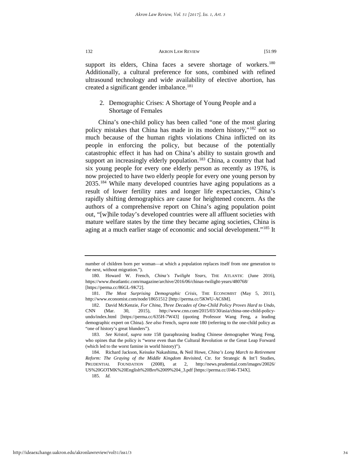support its elders, China faces a severe shortage of workers.<sup>180</sup> Additionally, a cultural preference for sons, combined with refined ultrasound technology and wide availability of elective abortion, has created a significant gender imbalance.<sup>181</sup>

# 2. Demographic Crises: A Shortage of Young People and a Shortage of Females

China's one-child policy has been called "one of the most glaring policy mistakes that China has made in its modern history,"[182](#page-34-2) not so much because of the human rights violations China inflicted on its people in enforcing the policy, but because of the potentially catastrophic effect it has had on China's ability to sustain growth and support an increasingly elderly population.<sup>[183](#page-34-3)</sup> China, a country that had six young people for every one elderly person as recently as 1976, is now projected to have two elderly people for every one young person by 2035.[184](#page-34-4) While many developed countries have aging populations as a result of lower fertility rates and longer life expectancies, China's rapidly shifting demographics are cause for heightened concern. As the authors of a comprehensive report on China's aging population point out, "[w]hile today's developed countries were all affluent societies with mature welfare states by the time they became aging societies, China is aging at a much earlier stage of economic and social development."<sup>[185](#page-34-5)</sup> It

number of children born per woman—at which a population replaces itself from one generation to the next, without migration.").

<span id="page-34-0"></span><sup>180.</sup> Howard W. French, *China's Twilight Years*, THE ATLANTIC (June 2016), https://www.theatlantic.com/magazine/archive/2016/06/chinas-twilight-years/480768/ [https://perma.cc/86GL-9K72].

<span id="page-34-1"></span><sup>181.</sup> *The Most Surprising Demographic Crisis*, THE ECONOMIST (May 5, 2011), http://www.economist.com/node/18651512 [http://perma.cc/5KWU-AC6M].

<span id="page-34-2"></span><sup>182.</sup> David McKenzie, *For China, Three Decades of One-Child Policy Proves Hard to Undo*, CNN (Mar. 30, 2015), http://www.cnn.com/2015/03/30/asia/china-one-child-policyundo/index.html [https://perma.cc/635H-7W43] (quoting Professor Wang Feng, a leading demographic expert on China). *See also* French, *supra* note 180 (referring to the one-child policy as "one of history's great blunders").

<span id="page-34-3"></span><sup>183.</sup> *See* Kristof, *supra* note [158](#page-29-11) (paraphrasing leading Chinese demographer Wang Feng, who opines that the policy is "worse even than the Cultural Revolution or the Great Leap Forward (which led to the worst famine in world history)").

<span id="page-34-5"></span><span id="page-34-4"></span><sup>184.</sup> Richard Jackson, Keisuke Nakashima, & Neil Howe, *China's Long March to Retirement Reform: The Graying of the Middle Kingdom Revisited,* Ctr. for Strategic & Int'l Studies, PRUDENTIAL FOUNDATION (2008), at 2, http://news.prudential.com/images/20026/ US%20GOTMK%20English%20Bro%2009%204\_3.pdf [https://perma.cc/JJ46-T34X].

<sup>185.</sup> *Id.*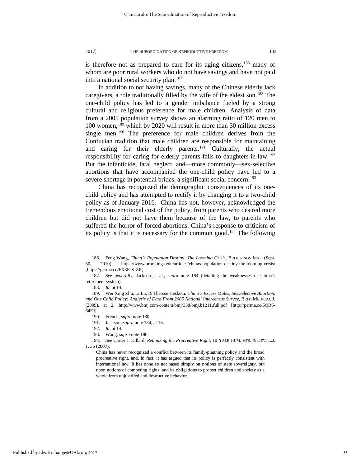is therefore not as prepared to care for its aging citizens,<sup>[186](#page-35-0)</sup> many of whom are poor rural workers who do not have savings and have not paid into a national social security plan.<sup>[187](#page-35-1)</sup>

In addition to not having savings, many of the Chinese elderly lack caregivers, a role traditionally filled by the wife of the eldest son[.188](#page-35-2) The one-child policy has led to a gender imbalance fueled by a strong cultural and religious preference for male children. Analysis of data from a 2005 population survey shows an alarming ratio of 120 men to 100 women,[189](#page-35-3) which by 2020 will result in more than 30 million excess single men.<sup>[190](#page-35-4)</sup> The preference for male children derives from the Confucian tradition that male children are responsible for maintaining and caring for their elderly parents.<sup>[191](#page-35-5)</sup> Culturally, the actual responsibility for caring for elderly parents falls to daughters-in-law.<sup>[192](#page-35-6)</sup> But the infanticide, fatal neglect, and—more commonly—sex-selective abortions that have accompanied the one-child policy have led to a severe shortage in potential brides, a significant social concern.<sup>[193](#page-35-7)</sup>

China has recognized the demographic consequences of its onechild policy and has attempted to rectify it by changing it to a two-child policy as of January 2016. China has not, however, acknowledged the tremendous emotional cost of the policy, from parents who desired more children but did not have them because of the law, to parents who suffered the horror of forced abortions. China's response to criticism of its policy is that it is necessary for the common good.<sup>[194](#page-35-8)</sup> The following

<span id="page-35-0"></span><sup>186.</sup> Feng Wang, *China's Population Destiny: The Looming Crisis*, BROOKINGS INST. (Sept. 30, 2010), https://www.brookings.edu/articles/chinas-population-destiny-the-looming-crisis/ [https://perma.cc/FX3E-SJZR].

<span id="page-35-1"></span><sup>187.</sup> *See generally*, Jackson et al., *supra* note 184 (detailing the weaknesses of China's retirement system).

<sup>188.</sup> *Id.* at 14.

<span id="page-35-4"></span><span id="page-35-3"></span><span id="page-35-2"></span><sup>189.</sup> Wei Xing Zhu, Li Lu, & Therese Hesketh, *China's Excess Males, Sex Selective Abortion, and One Child Policy: Analysis of Data From 2005 National Intercensus Survey*, BRIT. MEDICAL J. (2009), at 2, http://www.bmj.com/content/bmj/338/bmj.b1211.full.pdf [http://perma.cc/6QR6- 64EJ].

<sup>190.</sup> French, *supra* note 180.

<sup>191.</sup> Jackson, *supra* note 184, at 16.

<sup>192.</sup> *Id.* at 14.

<sup>193.</sup> Wang, *supra* note 186.

<span id="page-35-8"></span><span id="page-35-7"></span><span id="page-35-6"></span><span id="page-35-5"></span><sup>194.</sup> *See* Carter J. Dillard, *Rethinking the Procreative Right*, 10 YALE HUM. RTS. & DEV. L.J. 1, 36 (2007):

China has never recognized a conflict between its family-planning policy and the broad procreative right, and, in fact, it has argued that its policy is perfectly consistent with international law. It has done so not based simply on notions of state sovereignty, but upon notions of competing rights, and its obligations to protect children and society as a whole from unjustified and destructive behavior.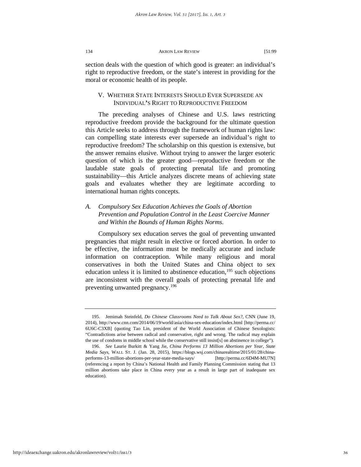section deals with the question of which good is greater: an individual's right to reproductive freedom, or the state's interest in providing for the moral or economic health of its people.

# V. WHETHER STATE INTERESTS SHOULD EVER SUPERSEDE AN INDIVIDUAL**'**S RIGHT TO REPRODUCTIVE FREEDOM

The preceding analyses of Chinese and U.S. laws restricting reproductive freedom provide the background for the ultimate question this Article seeks to address through the framework of human rights law: can compelling state interests ever supersede an individual's right to reproductive freedom? The scholarship on this question is extensive, but the answer remains elusive. Without trying to answer the larger esoteric question of which is the greater good—reproductive freedom or the laudable state goals of protecting prenatal life and promoting sustainability—this Article analyzes discrete means of achieving state goals and evaluates whether they are legitimate according to international human rights concepts.

# *A. Compulsory Sex Education Achieves the Goals of Abortion Prevention and Population Control in the Least Coercive Manner and Within the Bounds of Human Rights Norms.*

Compulsory sex education serves the goal of preventing unwanted pregnancies that might result in elective or forced abortion. In order to be effective, the information must be medically accurate and include information on contraception. While many religious and moral conservatives in both the United States and China object to sex education unless it is limited to abstinence education, $195$  such objections are inconsistent with the overall goals of protecting prenatal life and preventing unwanted pregnancy.[196](#page-36-1)

<span id="page-36-0"></span><sup>195.</sup> Jemimah Steinfeld, *Do Chinese Classrooms Need to Talk About Sex?*, CNN (June 19, 2014), http://www.cnn.com/2014/06/19/world/asia/china-sex-education/index.html [http://perma.cc/ 6U6C-C3XB] (quoting Tao Lin, president of the World Association of Chinese Sexologists: "Contradictions arise between radical and conservative, right and wrong. The radical may explain the use of condoms in middle school while the conservative still insist[s] on abstinence in college").

<span id="page-36-1"></span><sup>196.</sup> *See* Laurie Burkitt & Yang Jie, *China Performs 13 Million Abortions per Year, State Media Says*, WALL ST. J. (Jan. 28, 2015), https://blogs.wsj.com/chinarealtime/2015/01/28/chinaperforms-13-million-abortions-per-year-state-media-says/ [http://perma.cc/6D4M-MU7N] (referencing a report by China's National Health and Family Planning Commission stating that 13 million abortions take place in China every year as a result in large part of inadequate sex education).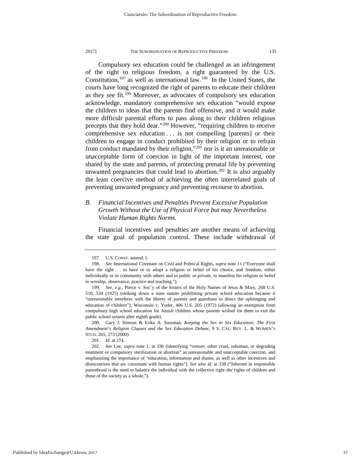Compulsory sex education could be challenged as an infringement

of the right to religious freedom, a right guaranteed by the U.S. Constitution,  $197$  as well as international law.<sup>[198](#page-37-1)</sup> In the United States, the courts have long recognized the right of parents to educate their children as they see fit.[199](#page-37-2) Moreover, as advocates of compulsory sex education acknowledge, mandatory comprehensive sex education "would expose the children to ideas that the parents find offensive, and it would make more difficult parental efforts to pass along to their children religious precepts that they hold dear."[200](#page-37-3) However, "requiring children to receive comprehensive sex education . . . is not compelling [parents] or their children to engage in conduct prohibited by their religion or to refrain from conduct mandated by their religion,"<sup>[201](#page-37-4)</sup> nor is it an unreasonable or unacceptable form of coercion in light of the important interest, one shared by the state and parents, of protecting prenatal life by preventing unwanted pregnancies that could lead to abortion.<sup>[202](#page-37-5)</sup> It is also arguably the least coercive method of achieving the often interrelated goals of preventing unwanted pregnancy and preventing recourse to abortion.

# *B. Financial Incentives and Penalties Prevent Excessive Population Growth Without the Use of Physical Force but may Nevertheless Violate Human Rights Norms.*

Financial incentives and penalties are another means of achieving the state goal of population control. These include withdrawal of

<span id="page-37-3"></span>200. Gary J. Simson & Erika A. Sussman, *Keeping the Sex in Sex Education: The First Amendment's Religion Clauses and the Sex Education Debate*, 9 S. CAL. REV. L. & WOMEN'S STUD. 265, 273 (2000).

201. *Id.* at 274.

<sup>197.</sup> U.S. CONST. amend. I.

<span id="page-37-1"></span><span id="page-37-0"></span><sup>198.</sup> *See* International Covenant on Civil and Political Rights, *supra* not[e 11 \(](#page-5-8)"Everyone shall have the right . . . to have or to adopt a religion or belief of his choice, and freedom, either individually or in community with others and in public or private, to manifest his religion or belief in worship, observance, practice and teaching.").

<span id="page-37-2"></span><sup>199.</sup> *See*, *e.g.*, Pierce v. Soc'y of the Sisters of the Holy Names of Jesus & Mary, 268 U.S. 510, 534 (1925) (striking down a state statute prohibiting private school education because it "unreasonably interferes with the liberty of parents and guardians to direct the upbringing and education of children"); Wisconsin v. Yoder, 406 U.S. 205 (1972) (allowing an exemption from compulsory high school education for Amish children whose parents wished for them to exit the public school system after eighth grade).

<span id="page-37-5"></span><span id="page-37-4"></span><sup>202.</sup> *See* Lee, *supra* note [1,](#page-2-1) at 336 (identifying "torture; other cruel, inhuman, or degrading treatment or compulsory sterilization or abortion" as unreasonable and unacceptable coercion, and emphasizing the importance of "education, information and shame, as well as other incentives and disincentives that are consonant with human rights"). *See also id.* at 338 ("Inherent in responsible parenthood is the need to balance the individual with the collective right–the rights of children and those of the society as a whole.").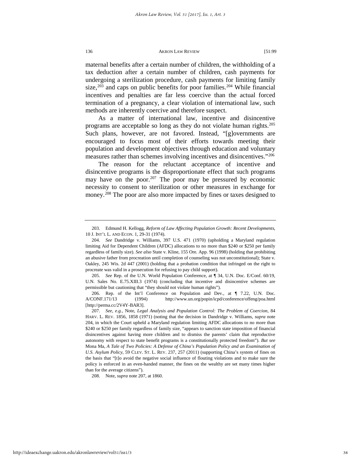maternal benefits after a certain number of children, the withholding of a tax deduction after a certain number of children, cash payments for undergoing a sterilization procedure, cash payments for limiting family size, $203$  and caps on public benefits for poor families. $204$  While financial incentives and penalties are far less coercive than the actual forced termination of a pregnancy, a clear violation of international law, such methods are inherently coercive and therefore suspect.

As a matter of international law, incentive and disincentive programs are acceptable so long as they do not violate human rights.<sup>205</sup> Such plans, however, are not favored. Instead, "[g]overnments are encouraged to focus most of their efforts towards meeting their population and development objectives through education and voluntary measures rather than schemes involving incentives and disincentives."<sup>[206](#page-38-3)</sup>

The reason for the reluctant acceptance of incentive and disincentive programs is the disproportionate effect that such programs may have on the poor.<sup>[207](#page-38-4)</sup> The poor may be pressured by economic necessity to consent to sterilization or other measures in exchange for money.<sup>[208](#page-38-5)</sup> The poor are also more impacted by fines or taxes designed to

<span id="page-38-2"></span>205. *See* Rep. of the U.N. World Population Conference, at ¶ 34, U.N. Doc. E/Conf. 60/19, U.N. Sales No. E.75.XIII.3 (1974) (concluding that incentive and disincentive schemes are permissible but cautioning that "they should not violate human rights").

<span id="page-38-3"></span>206. Rep. of the Int'l Conference on Population and Dev., at ¶ 7.22, U.N. Doc. A/CONF.171/13 (1994) http://www.un.org/popin/icpd/conference/offeng/poa.html [http://perma.cc/2V4Y-BAR3].

<span id="page-38-5"></span>208. Note, *supra* note 207, at 1860.

<span id="page-38-0"></span><sup>203.</sup> Edmund H. Kellogg, *Reform of Law Affecting Population Growth: Recent Developments*, 10 J. INT'L L. AND ECON. 1, 29-31 (1974).

<span id="page-38-1"></span><sup>204.</sup> *See* Dandridge v. Williams, 397 U.S. 471 (1970) (upholding a Maryland regulation limiting Aid for Dependent Children (AFDC) allocations to no more than \$240 or \$250 per family regardless of family size). *See also* State v. Kline, 155 Ore. App. 96 (1998) (holding that prohibiting an abusive father from procreation until completion of counseling was not unconstitutional); State v. Oakley, 245 Wis. 2d 447 (2001) (holding that a probation condition that infringed on the right to procreate was valid in a prosecution for refusing to pay child support).

<span id="page-38-4"></span><sup>207.</sup> *See*, *e.g.*, Note, *Legal Analysis and Population Control: The Problem of Coercion*, 84 HARV. L. REV. 1856, 1858 (1971) (noting that the decision in Dandridge v. Williams, *supra* note 204, in which the Court upheld a Maryland regulation limiting AFDC allocations to no more than \$240 or \$250 per family regardless of family size, "appears to sanction state imposition of financial disincentives against having more children and to dismiss the parents' claim that reproductive autonomy with respect to state benefit programs is a constitutionally protected freedom"). *But see* Mona Ma, *A Tale of Two Policies: A Defense of China's Population Policy and an Examination of U.S. Asylum Policy*, 59 CLEV. ST. L. REV. 237, 257 (2011) (supporting China's system of fines on the basis that "[t]o avoid the negative social influence of flouting violations and to make sure the policy is enforced in an even-handed manner, the fines on the wealthy are set many times higher than for the average citizens").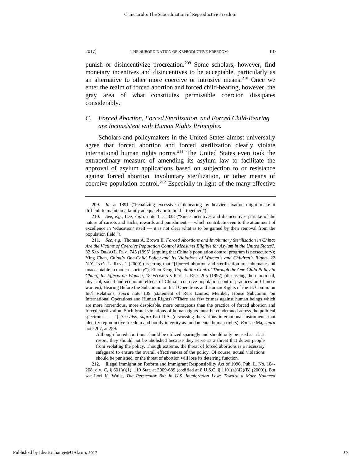punish or disincentivize procreation.<sup>[209](#page-39-0)</sup> Some scholars, however, find monetary incentives and disincentives to be acceptable, particularly as an alternative to other more coercive or intrusive means.<sup>[210](#page-39-1)</sup> Once we enter the realm of forced abortion and forced child-bearing, however, the gray area of what constitutes permissible coercion dissipates considerably.

# *C. Forced Abortion, Forced Sterilization, and Forced Child-Bearing are Inconsistent with Human Rights Principles.*

Scholars and policymakers in the United States almost universally agree that forced abortion and forced sterilization clearly violate international human rights norms.[211](#page-39-2) The United States even took the extraordinary measure of amending its asylum law to facilitate the approval of asylum applications based on subjection to or resistance against forced abortion, involuntary sterilization, or other means of coercive population control.<sup>[212](#page-39-3)</sup> Especially in light of the many effective

<span id="page-39-0"></span><sup>209.</sup> *Id.* at 1891 ("Penalizing excessive childbearing by heavier taxation might make it difficult to maintain a family adequately or to hold it together.").

<span id="page-39-1"></span><sup>210.</sup> *See*, *e.g.*, Lee, *supra* note [1,](#page-2-1) at 338 ("Since incentives and disincentives partake of the nature of carrots and sticks, rewards and punishment — which contribute even to the attainment of excellence in 'education' itself  $-$  it is not clear what is to be gained by their removal from the population field.").

<span id="page-39-2"></span><sup>211.</sup> *See*, *e.g.*, Thomas A. Brown II, *Forced Abortions and Involuntary Sterilization in China: Are the Victims of Coercive Population Control Measures Eligible for Asylum in the United States?,* 32 SAN DIEGO L. REV. 745 (1995) (arguing that China's population control program is persecutory); Ying Chen, *China's One-Child Policy and Its Violations of Women's and Children's Rights*, 22 N.Y. INT'L L. REV. 1 (2009) (asserting that "[f]orced abortion and sterilization are inhumane and unacceptable in modern society"); Ellen Keng*, Population Control Through the One-Child Policy in China; Its Effects on Women*, 18 WOMEN'S RTS. L. REP. 205 (1997) (discussing the emotional, physical, social and economic effects of China's coercive population control practices on Chinese women); Hearing Before the Subcomm. on Int'l Operations and Human Rights of the H. Comm. on Int'l Relations, *supra* note 139 (statement of Rep. Lantos, Member, House Subcomm. on International Operations and Human Rights) ("There are few crimes against human beings which are more horrendous, more despicable, more outrageous than the practice of forced abortion and forced sterilization. Such brutal violations of human rights must be condemned across the political spectrum . . . ."). *See also*, *supra* Part [II.A.](#page-6-4) (discussing the various international instruments that identify reproductive freedom and bodily integrity as fundamental human rights). *But see* Ma, *supra* note 207, at 259:

Although forced abortions should be utilized sparingly and should only be used as a last resort, they should not be abolished because they serve as a threat that deters people from violating the policy. Though extreme, the threat of forced abortions is a necessary safeguard to ensure the overall effectiveness of the policy. Of course, actual violations should be punished, or the threat of abortion will lose its deterring function.

<span id="page-39-3"></span><sup>212.</sup> Illegal Immigration Reform and Immigrant Responsibility Act of 1996, Pub. L. No. 104- 208, div. C, § 601(a)(1), 110 Stat. at 3009-689 (codified at 8 U.S.C. § 1101(a)(42)(B) (2000)). *But see* Lori K. Walls, *The Persecutor Bar in U.S. Immigration Law: Toward a More Nuanced*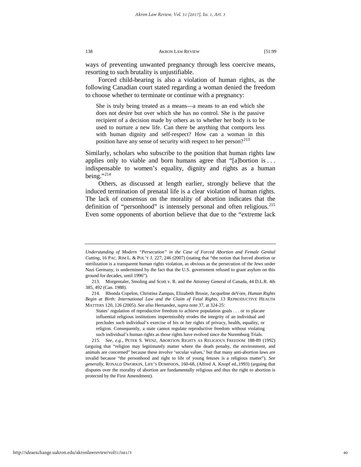ways of preventing unwanted pregnancy through less coercive means, resorting to such brutality is unjustifiable.

Forced child-bearing is also a violation of human rights, as the following Canadian court stated regarding a woman denied the freedom to choose whether to terminate or continue with a pregnancy:

She is truly being treated as a means—a means to an end which she does not desire but over which she has no control. She is the passive recipient of a decision made by others as to whether her body is to be used to nurture a new life. Can there be anything that comports less with human dignity and self-respect? How can a woman in this position have any sense of security with respect to her person?<sup>[213](#page-40-0)</sup>

Similarly, scholars who subscribe to the position that human rights law applies only to viable and born humans agree that "[a]bortion is . . . indispensable to women's equality, dignity and rights as a human being."<sup>[214](#page-40-1)</sup>

Others, as discussed at length earlier, strongly believe that the induced termination of prenatal life is a clear violation of human rights. The lack of consensus on the morality of abortion indicates that the definition of "personhood" is intensely personal and often religious.<sup>215</sup> Even some opponents of abortion believe that due to the "extreme lack

*Understanding of Modern "Persecution" in the Case of Forced Abortion and Female Genital Cutting*, 16 PAC. RIM L. & POL'Y J. 227, 246 (2007) (stating that "the notion that forced abortion or sterilization is a transparent human rights violation, as obvious as the persecution of the Jews under Nazi Germany, is undermined by the fact that the U.S. government refused to grant asylum on this ground for decades, until 1996").

<span id="page-40-0"></span><sup>213.</sup> Morgentaler, Smoling and Scott v. R. and the Attorney General of Canada, 44 D.L.R. 4th 385, 492 (Can. 1988).

<span id="page-40-1"></span><sup>214.</sup> Rhonda Copelon, Christina Zampas, Elizabeth Brusie, Jacqueline deVore, *Human Rights Begin at Birth: International Law and the Claim of Fetal Rights*, 13 REPRODUCTIVE HEALTH MATTERS 120, 126 (2005). *See also* Hernandez, *supra* not[e 37,](#page-9-4) at 324-25:

States' regulation of reproductive freedom to achieve population goals . . . or to placate influential religious institutions impermissibly erodes the integrity of an individual and precludes such individual's exercise of his or her rights of privacy, health, equality, or religion. Consequently, a state cannot regulate reproductive freedom without violating such individual's human rights as those rights have evolved since the Nuremburg Trials.

<span id="page-40-2"></span><sup>215.</sup> *See*, *e.g.*, PETER S. WENZ, ABORTION RIGHTS AS RELIGIOUS FREEDOM 188-89 (1992) (arguing that "religion may legitimately matter where the death penalty, the environment, and animals are concerned" because these involve 'secular values,' but that many anti-abortion laws are invalid because "the personhood and right to life of young fetuses is a religious matter"). *See generally*, RONALD DWORKIN, LIFE'S DOMINION, 160-68, (Alfred A. Knopf ed.,1993) (arguing that disputes over the morality of abortion are fundamentally religious and thus the right to abortion is protected by the First Amendment).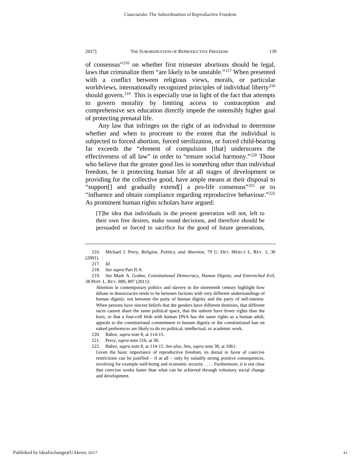of consensus"[216](#page-41-0) on whether first trimester abortions should be legal, laws that criminalize them "are likely to be unstable."<sup>217</sup> When presented with a conflict between religious views, morals, or particular worldviews, internationally recognized principles of individual liberty<sup>218</sup> should govern.<sup>219</sup> This is especially true in light of the fact that attempts to govern morality by limiting access to contraception and comprehensive sex education directly impede the ostensibly higher goal of protecting prenatal life.

Any law that infringes on the right of an individual to determine whether and when to procreate to the extent that the individual is subjected to forced abortion, forced sterilization, or forced child-bearing far exceeds the "element of compulsion [that] underscores the effectiveness of all law" in order to "ensure social harmony."[220](#page-41-4) Those who believe that the greater good lies in something other than individual freedom, be it protecting human life at all stages of development or providing for the collective good, have ample means at their disposal to "support[] and gradually extend[] a pro-life consensus"<sup>[221](#page-41-5)</sup> or to "influence and obtain compliance regarding reproductive behaviour."<sup>222</sup> As prominent human rights scholars have argued:

[T]he idea that individuals in the present generation will not, left to their own free desires, make sound decisions, and therefore should be persuaded or forced to sacrifice for the good of future generations,

<span id="page-41-1"></span><span id="page-41-0"></span><sup>216.</sup> Michael J. Perry, *Religion, Politics, and Abortion*, 79 U. DET. MERCY L. REV. 1, 30 (2001).

<sup>217.</sup> *Id.*

<sup>218.</sup> *See supra* Part II.A.

<span id="page-41-3"></span><span id="page-41-2"></span><sup>219.</sup> *See* Mark A. Graber, *Constitutional Democracy, Human Dignity, and Entrenched Evil*, 38 PEPP. L. REV. 889, 897 (2011):

Abortion in contemporary politics and slavery in the nineteenth century highlight how debate in democracies tends to be between factions with very different understandings of human dignity, not between the party of human dignity and the party of self-interest. When persons have sincere beliefs that the genders have different destinies, that different races cannot share the same political space, that the unborn have fewer rights than the born, or that a four-cell blob with human DNA has the same rights as a human adult, appeals to the constitutional commitment to human dignity or the constitutional ban on naked preferences are likely to do no political, intellectual, or academic work.

<span id="page-41-4"></span><sup>220.</sup> Babor, *supra* not[e 8,](#page-5-0) at 114-15.

<span id="page-41-5"></span><sup>221.</sup> Perry, *supra* note 216, at 30.

<span id="page-41-6"></span><sup>222.</sup> Babor, *supra* not[e 8,](#page-5-0) at 114-15. *See also*, Sen, *supra* not[e 38,](#page-10-2) at 1061:

Given the basic importance of reproductive freedom, its denial in favor of coercive restrictions can be justified – if at all – only by suitably strong positive consequences, involving for example well-being and economic security . . . . Furthermore, it is not clear that coercion works faster than what can be achieved through voluntary social change and development.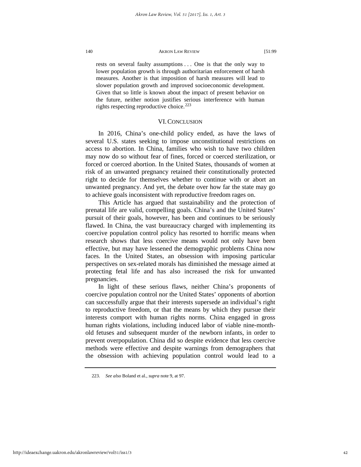rests on several faulty assumptions . . . One is that the only way to lower population growth is through authoritarian enforcement of harsh measures. Another is that imposition of harsh measures will lead to slower population growth and improved socioeconomic development. Given that so little is known about the impact of present behavior on the future, neither notion justifies serious interference with human rights respecting reproductive choice.<sup>[223](#page-42-0)</sup>

# VI. CONCLUSION

In 2016, China's one-child policy ended, as have the laws of several U.S. states seeking to impose unconstitutional restrictions on access to abortion. In China, families who wish to have two children may now do so without fear of fines, forced or coerced sterilization, or forced or coerced abortion. In the United States, thousands of women at risk of an unwanted pregnancy retained their constitutionally protected right to decide for themselves whether to continue with or abort an unwanted pregnancy. And yet, the debate over how far the state may go to achieve goals inconsistent with reproductive freedom rages on.

This Article has argued that sustainability and the protection of prenatal life are valid, compelling goals. China's and the United States' pursuit of their goals, however, has been and continues to be seriously flawed. In China, the vast bureaucracy charged with implementing its coercive population control policy has resorted to horrific means when research shows that less coercive means would not only have been effective, but may have lessened the demographic problems China now faces. In the United States, an obsession with imposing particular perspectives on sex-related morals has diminished the message aimed at protecting fetal life and has also increased the risk for unwanted pregnancies.

In light of these serious flaws, neither China's proponents of coercive population control nor the United States' opponents of abortion can successfully argue that their interests supersede an individual's right to reproductive freedom, or that the means by which they pursue their interests comport with human rights norms. China engaged in gross human rights violations, including induced labor of viable nine-monthold fetuses and subsequent murder of the newborn infants, in order to prevent overpopulation. China did so despite evidence that less coercive methods were effective and despite warnings from demographers that the obsession with achieving population control would lead to a

<span id="page-42-0"></span><sup>223.</sup> *See also* Boland et al., *supra* not[e 9,](#page-5-7) at 97.